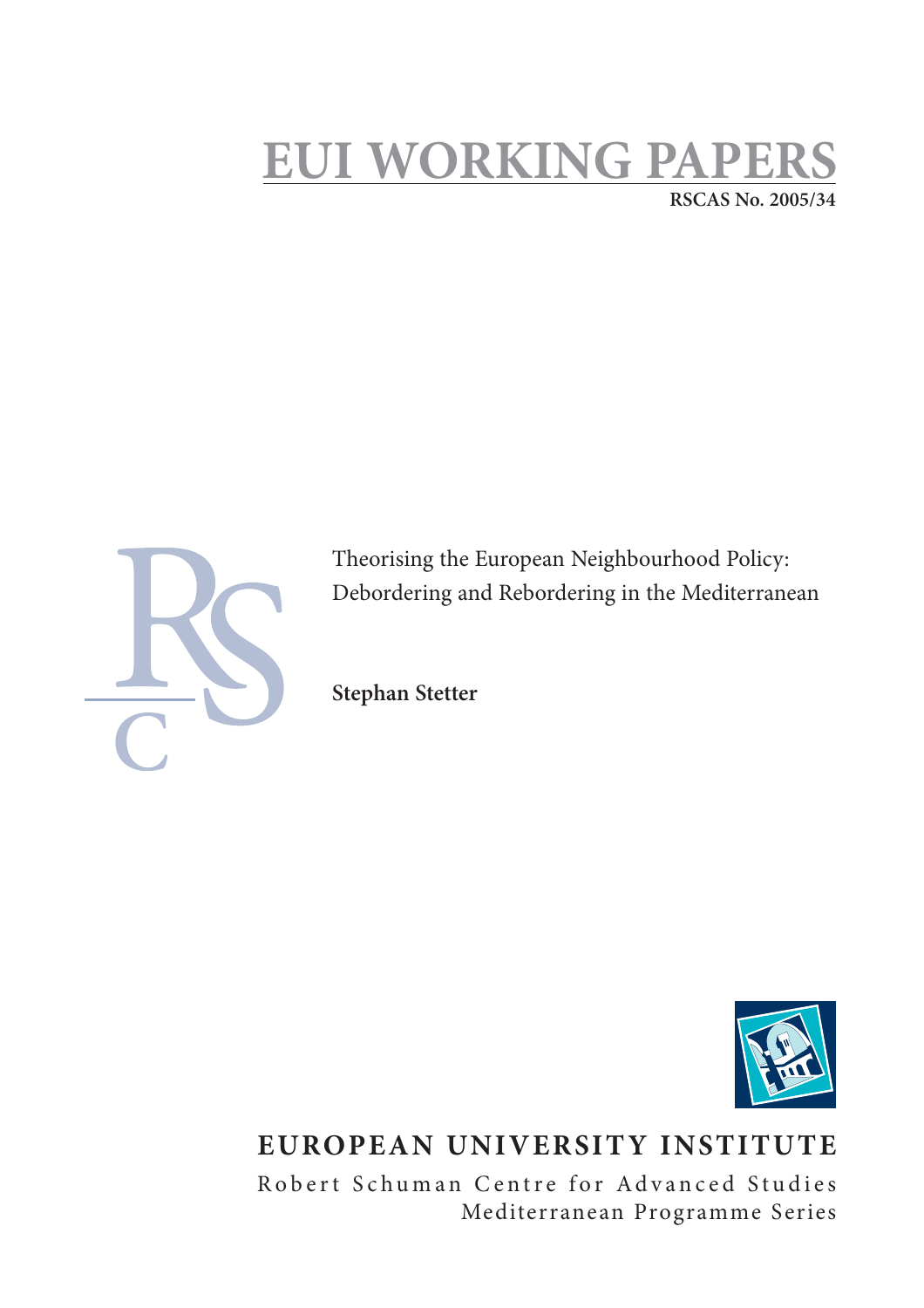# **EUI WORKING PAPI RSCAS No. 2005/34**



Theorising the European Neighbourhood Policy: Debordering and Rebordering in the Mediterranean

**Stephan Stetter**



## **EUROPEAN UNIVERSITY INSTITUTE**

Robert Schuman Centre for Advanced Studies Mediterranean Programme Series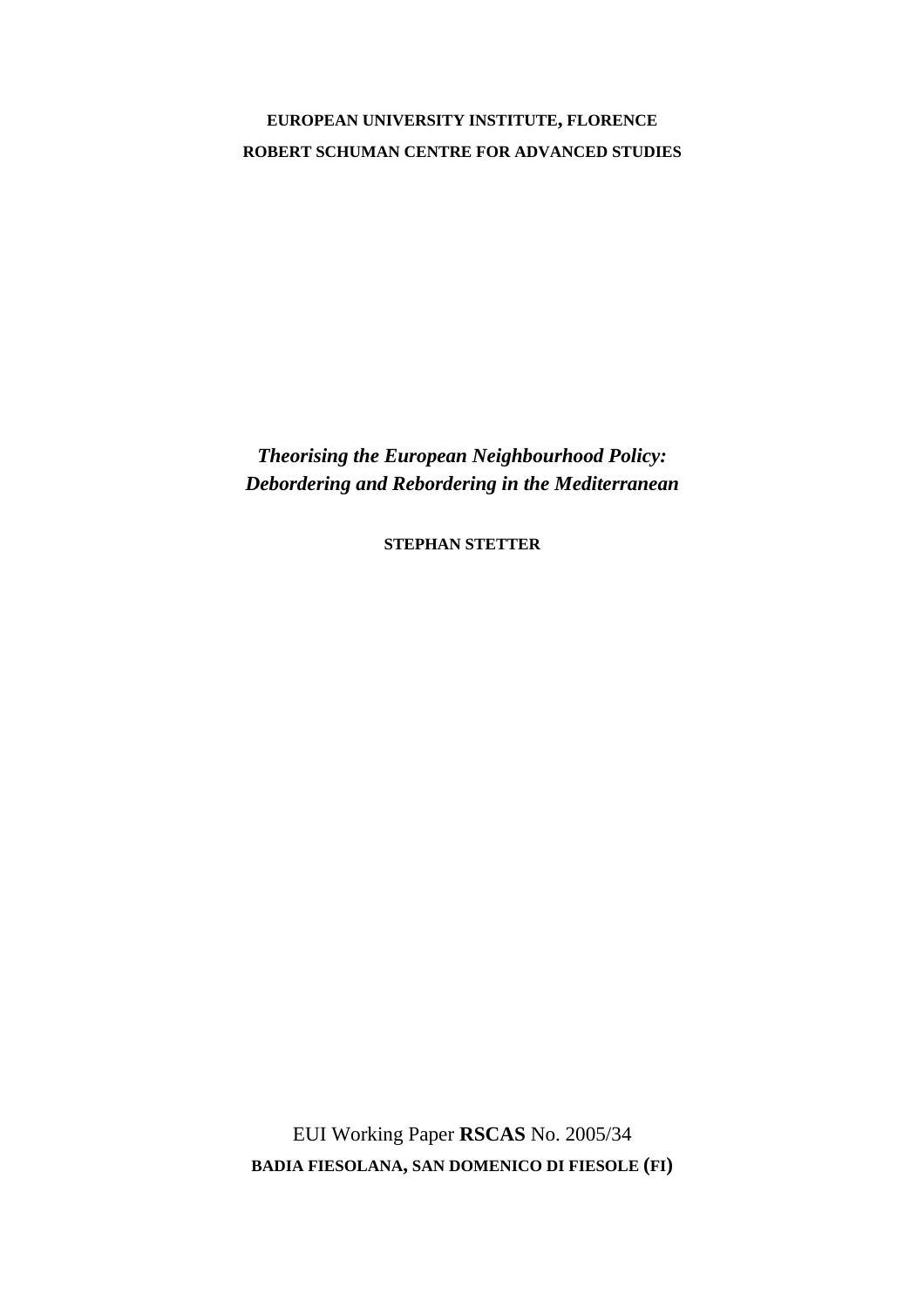### **EUROPEAN UNIVERSITY INSTITUTE, FLORENCE ROBERT SCHUMAN CENTRE FOR ADVANCED STUDIES**

*Theorising the European Neighbourhood Policy: Debordering and Rebordering in the Mediterranean* 

**STEPHAN STETTER**

EUI Working Paper **RSCAS** No. 2005/34 **BADIA FIESOLANA, SAN DOMENICO DI FIESOLE (FI)**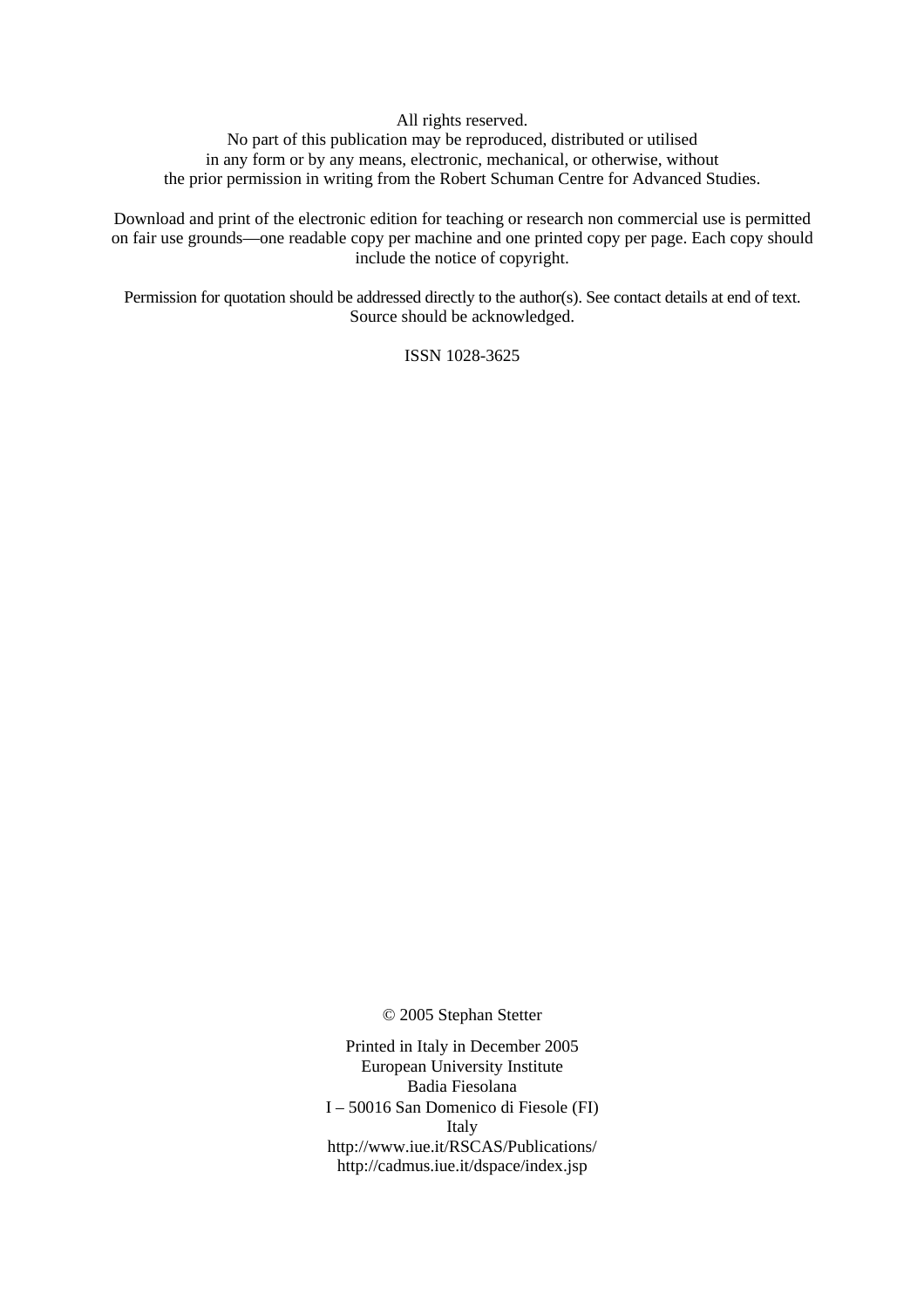All rights reserved.

No part of this publication may be reproduced, distributed or utilised in any form or by any means, electronic, mechanical, or otherwise, without the prior permission in writing from the Robert Schuman Centre for Advanced Studies.

Download and print of the electronic edition for teaching or research non commercial use is permitted on fair use grounds—one readable copy per machine and one printed copy per page. Each copy should include the notice of copyright.

Permission for quotation should be addressed directly to the author(s). See contact details at end of text. Source should be acknowledged.

ISSN 1028-3625

© 2005 Stephan Stetter

Printed in Italy in December 2005 European University Institute Badia Fiesolana I – 50016 San Domenico di Fiesole (FI) Italy http://www.iue.it/RSCAS/Publications/ http://cadmus.iue.it/dspace/index.jsp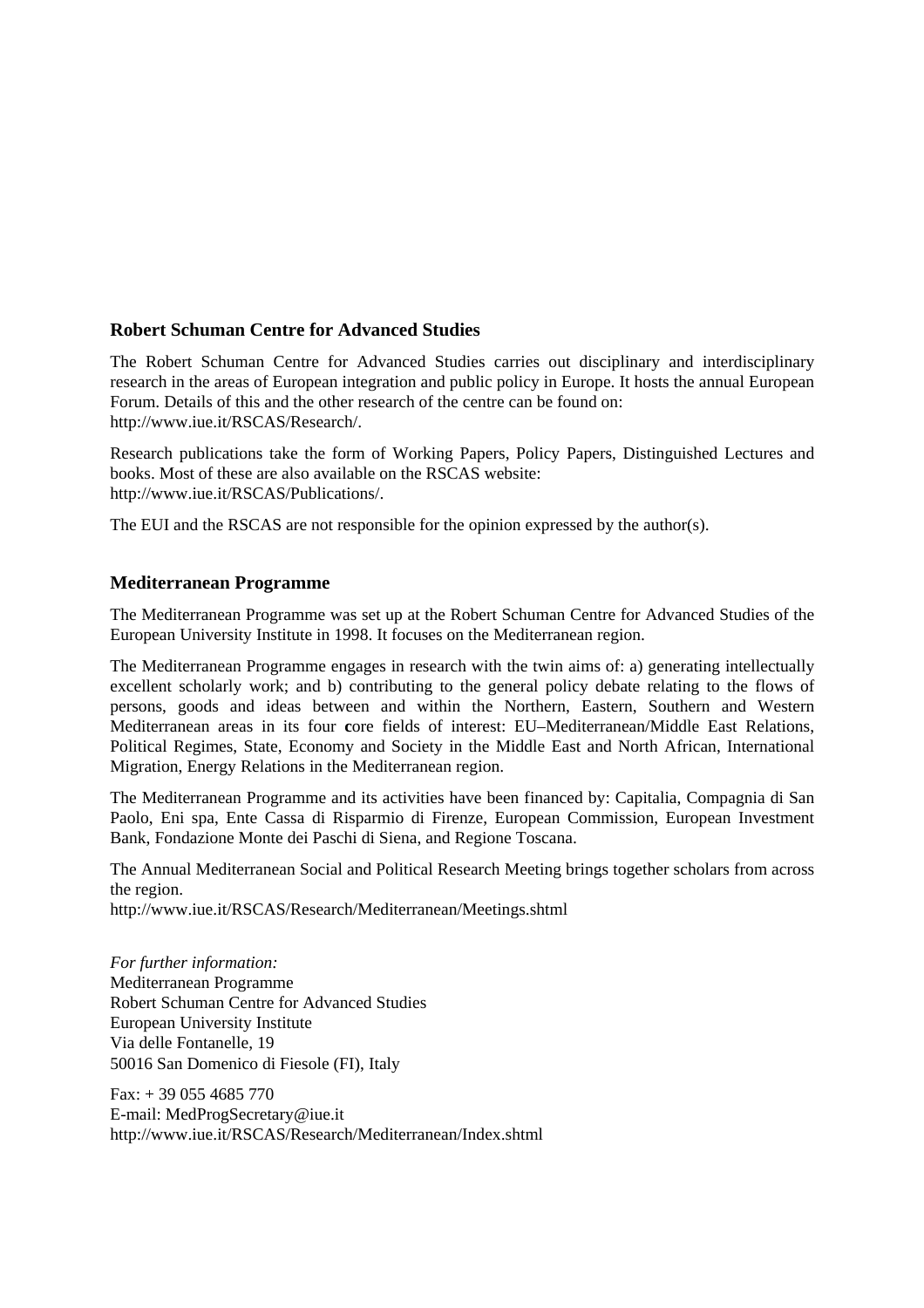#### **Robert Schuman Centre for Advanced Studies**

The Robert Schuman Centre for Advanced Studies carries out disciplinary and interdisciplinary research in the areas of European integration and public policy in Europe. It hosts the annual European Forum. Details of this and the other research of the centre can be found on: http://www.iue.it/RSCAS/Research/.

Research publications take the form of Working Papers, Policy Papers, Distinguished Lectures and books. Most of these are also available on the RSCAS website: http://www.iue.it/RSCAS/Publications/.

The EUI and the RSCAS are not responsible for the opinion expressed by the author(s).

#### **Mediterranean Programme**

The Mediterranean Programme was set up at the Robert Schuman Centre for Advanced Studies of the European University Institute in 1998. It focuses on the Mediterranean region.

The Mediterranean Programme engages in research with the twin aims of: a) generating intellectually excellent scholarly work; and b) contributing to the general policy debate relating to the flows of persons, goods and ideas between and within the Northern, Eastern, Southern and Western Mediterranean areas in its four **c**ore fields of interest: EU–Mediterranean/Middle East Relations, Political Regimes, State, Economy and Society in the Middle East and North African, International Migration, Energy Relations in the Mediterranean region.

The Mediterranean Programme and its activities have been financed by: Capitalia, Compagnia di San Paolo, Eni spa, Ente Cassa di Risparmio di Firenze, European Commission, European Investment Bank, Fondazione Monte dei Paschi di Siena, and Regione Toscana.

The Annual Mediterranean Social and Political Research Meeting brings together scholars from across the region.

http://www.iue.it/RSCAS/Research/Mediterranean/Meetings.shtml

*For further information:*  Mediterranean Programme Robert Schuman Centre for Advanced Studies European University Institute Via delle Fontanelle, 19 50016 San Domenico di Fiesole (FI), Italy

Fax: + 39 055 4685 770 E-mail: MedProgSecretary@iue.it http://www.iue.it/RSCAS/Research/Mediterranean/Index.shtml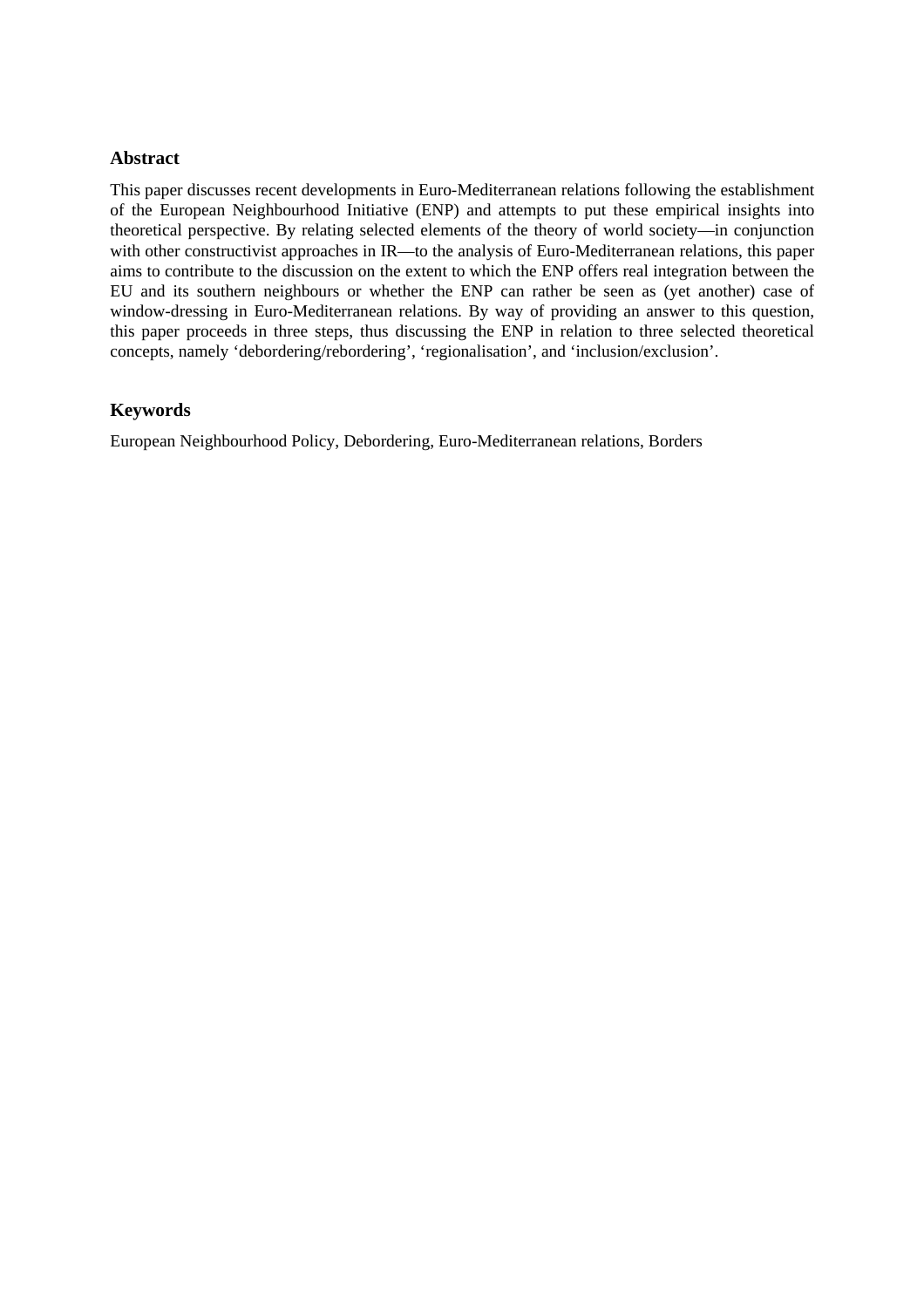#### **Abstract**

This paper discusses recent developments in Euro-Mediterranean relations following the establishment of the European Neighbourhood Initiative (ENP) and attempts to put these empirical insights into theoretical perspective. By relating selected elements of the theory of world society—in conjunction with other constructivist approaches in IR—to the analysis of Euro-Mediterranean relations, this paper aims to contribute to the discussion on the extent to which the ENP offers real integration between the EU and its southern neighbours or whether the ENP can rather be seen as (yet another) case of window-dressing in Euro-Mediterranean relations. By way of providing an answer to this question, this paper proceeds in three steps, thus discussing the ENP in relation to three selected theoretical concepts, namely 'debordering/rebordering', 'regionalisation', and 'inclusion/exclusion'.

#### **Keywords**

European Neighbourhood Policy, Debordering, Euro-Mediterranean relations, Borders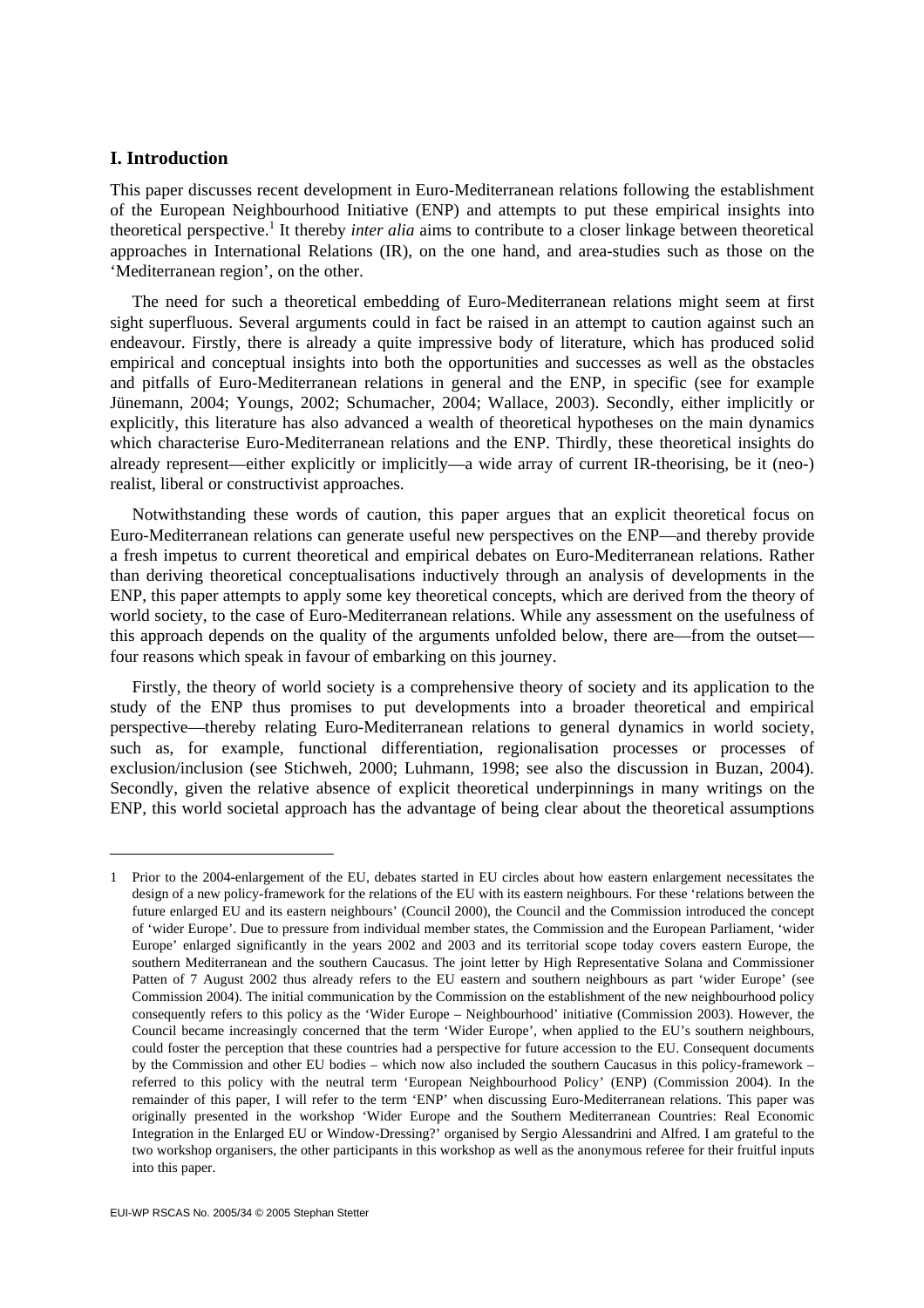#### **I. Introduction**

 $\overline{\phantom{a}}$ 

This paper discusses recent development in Euro-Mediterranean relations following the establishment of the European Neighbourhood Initiative (ENP) and attempts to put these empirical insights into theoretical perspective.<sup>1</sup> It thereby *inter alia* aims to contribute to a closer linkage between theoretical approaches in International Relations (IR), on the one hand, and area-studies such as those on the 'Mediterranean region', on the other.

The need for such a theoretical embedding of Euro-Mediterranean relations might seem at first sight superfluous. Several arguments could in fact be raised in an attempt to caution against such an endeavour. Firstly, there is already a quite impressive body of literature, which has produced solid empirical and conceptual insights into both the opportunities and successes as well as the obstacles and pitfalls of Euro-Mediterranean relations in general and the ENP, in specific (see for example Jünemann, 2004; Youngs, 2002; Schumacher, 2004; Wallace, 2003). Secondly, either implicitly or explicitly, this literature has also advanced a wealth of theoretical hypotheses on the main dynamics which characterise Euro-Mediterranean relations and the ENP. Thirdly, these theoretical insights do already represent—either explicitly or implicitly—a wide array of current IR-theorising, be it (neo-) realist, liberal or constructivist approaches.

Notwithstanding these words of caution, this paper argues that an explicit theoretical focus on Euro-Mediterranean relations can generate useful new perspectives on the ENP—and thereby provide a fresh impetus to current theoretical and empirical debates on Euro-Mediterranean relations. Rather than deriving theoretical conceptualisations inductively through an analysis of developments in the ENP, this paper attempts to apply some key theoretical concepts, which are derived from the theory of world society, to the case of Euro-Mediterranean relations. While any assessment on the usefulness of this approach depends on the quality of the arguments unfolded below, there are—from the outset four reasons which speak in favour of embarking on this journey.

Firstly, the theory of world society is a comprehensive theory of society and its application to the study of the ENP thus promises to put developments into a broader theoretical and empirical perspective—thereby relating Euro-Mediterranean relations to general dynamics in world society, such as, for example, functional differentiation, regionalisation processes or processes of exclusion/inclusion (see Stichweh, 2000; Luhmann, 1998; see also the discussion in Buzan, 2004). Secondly, given the relative absence of explicit theoretical underpinnings in many writings on the ENP, this world societal approach has the advantage of being clear about the theoretical assumptions

<sup>1</sup> Prior to the 2004-enlargement of the EU, debates started in EU circles about how eastern enlargement necessitates the design of a new policy-framework for the relations of the EU with its eastern neighbours. For these 'relations between the future enlarged EU and its eastern neighbours' (Council 2000), the Council and the Commission introduced the concept of 'wider Europe'. Due to pressure from individual member states, the Commission and the European Parliament, 'wider Europe' enlarged significantly in the years 2002 and 2003 and its territorial scope today covers eastern Europe, the southern Mediterranean and the southern Caucasus. The joint letter by High Representative Solana and Commissioner Patten of 7 August 2002 thus already refers to the EU eastern and southern neighbours as part 'wider Europe' (see Commission 2004). The initial communication by the Commission on the establishment of the new neighbourhood policy consequently refers to this policy as the 'Wider Europe – Neighbourhood' initiative (Commission 2003). However, the Council became increasingly concerned that the term 'Wider Europe', when applied to the EU's southern neighbours, could foster the perception that these countries had a perspective for future accession to the EU. Consequent documents by the Commission and other EU bodies – which now also included the southern Caucasus in this policy-framework – referred to this policy with the neutral term 'European Neighbourhood Policy' (ENP) (Commission 2004). In the remainder of this paper, I will refer to the term 'ENP' when discussing Euro-Mediterranean relations. This paper was originally presented in the workshop 'Wider Europe and the Southern Mediterranean Countries: Real Economic Integration in the Enlarged EU or Window-Dressing?' organised by Sergio Alessandrini and Alfred. I am grateful to the two workshop organisers, the other participants in this workshop as well as the anonymous referee for their fruitful inputs into this paper.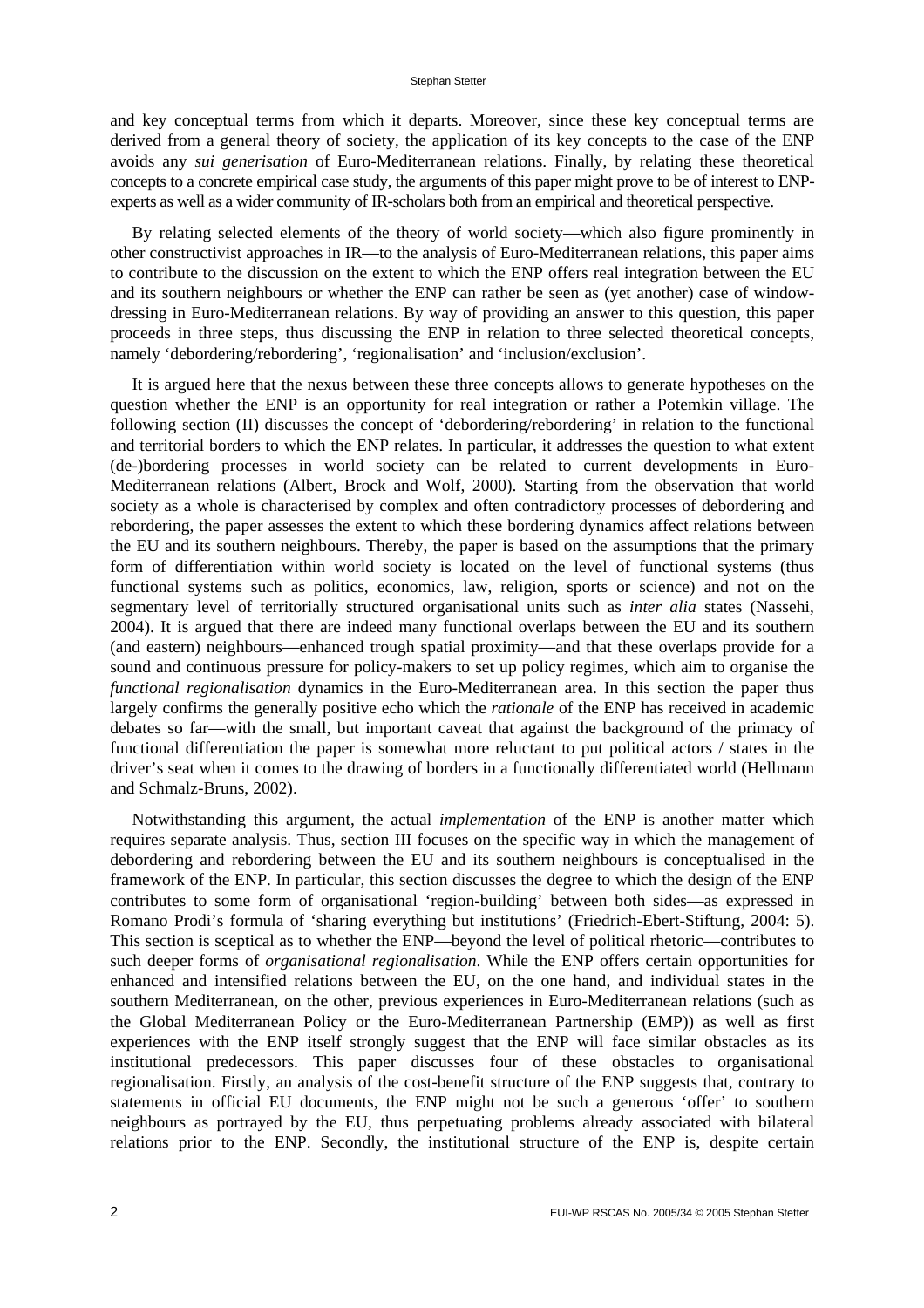and key conceptual terms from which it departs. Moreover, since these key conceptual terms are derived from a general theory of society, the application of its key concepts to the case of the ENP avoids any *sui generisation* of Euro-Mediterranean relations. Finally, by relating these theoretical concepts to a concrete empirical case study, the arguments of this paper might prove to be of interest to ENPexperts as well as a wider community of IR-scholars both from an empirical and theoretical perspective.

By relating selected elements of the theory of world society—which also figure prominently in other constructivist approaches in IR—to the analysis of Euro-Mediterranean relations, this paper aims to contribute to the discussion on the extent to which the ENP offers real integration between the EU and its southern neighbours or whether the ENP can rather be seen as (yet another) case of windowdressing in Euro-Mediterranean relations. By way of providing an answer to this question, this paper proceeds in three steps, thus discussing the ENP in relation to three selected theoretical concepts, namely 'debordering/rebordering', 'regionalisation' and 'inclusion/exclusion'.

It is argued here that the nexus between these three concepts allows to generate hypotheses on the question whether the ENP is an opportunity for real integration or rather a Potemkin village. The following section (II) discusses the concept of 'debordering/rebordering' in relation to the functional and territorial borders to which the ENP relates. In particular, it addresses the question to what extent (de-)bordering processes in world society can be related to current developments in Euro-Mediterranean relations (Albert, Brock and Wolf, 2000). Starting from the observation that world society as a whole is characterised by complex and often contradictory processes of debordering and rebordering, the paper assesses the extent to which these bordering dynamics affect relations between the EU and its southern neighbours. Thereby, the paper is based on the assumptions that the primary form of differentiation within world society is located on the level of functional systems (thus functional systems such as politics, economics, law, religion, sports or science) and not on the segmentary level of territorially structured organisational units such as *inter alia* states (Nassehi, 2004). It is argued that there are indeed many functional overlaps between the EU and its southern (and eastern) neighbours—enhanced trough spatial proximity—and that these overlaps provide for a sound and continuous pressure for policy-makers to set up policy regimes, which aim to organise the *functional regionalisation* dynamics in the Euro-Mediterranean area. In this section the paper thus largely confirms the generally positive echo which the *rationale* of the ENP has received in academic debates so far—with the small, but important caveat that against the background of the primacy of functional differentiation the paper is somewhat more reluctant to put political actors / states in the driver's seat when it comes to the drawing of borders in a functionally differentiated world (Hellmann and Schmalz-Bruns, 2002).

Notwithstanding this argument, the actual *implementation* of the ENP is another matter which requires separate analysis. Thus, section III focuses on the specific way in which the management of debordering and rebordering between the EU and its southern neighbours is conceptualised in the framework of the ENP. In particular, this section discusses the degree to which the design of the ENP contributes to some form of organisational 'region-building' between both sides—as expressed in Romano Prodi's formula of 'sharing everything but institutions' (Friedrich-Ebert-Stiftung, 2004: 5). This section is sceptical as to whether the ENP—beyond the level of political rhetoric—contributes to such deeper forms of *organisational regionalisation*. While the ENP offers certain opportunities for enhanced and intensified relations between the EU, on the one hand, and individual states in the southern Mediterranean, on the other, previous experiences in Euro-Mediterranean relations (such as the Global Mediterranean Policy or the Euro-Mediterranean Partnership (EMP)) as well as first experiences with the ENP itself strongly suggest that the ENP will face similar obstacles as its institutional predecessors. This paper discusses four of these obstacles to organisational regionalisation. Firstly, an analysis of the cost-benefit structure of the ENP suggests that, contrary to statements in official EU documents, the ENP might not be such a generous 'offer' to southern neighbours as portrayed by the EU, thus perpetuating problems already associated with bilateral relations prior to the ENP. Secondly, the institutional structure of the ENP is, despite certain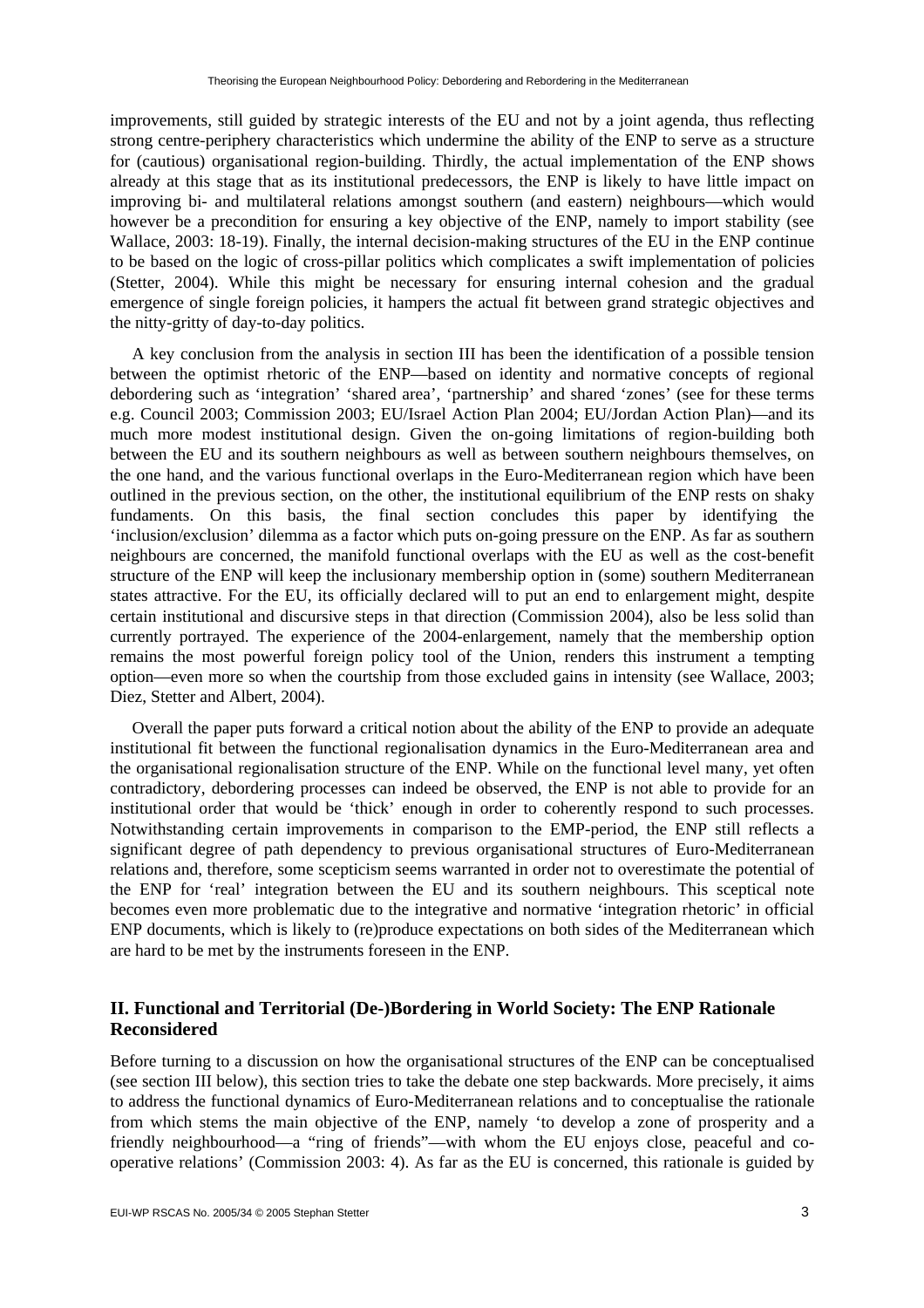improvements, still guided by strategic interests of the EU and not by a joint agenda, thus reflecting strong centre-periphery characteristics which undermine the ability of the ENP to serve as a structure for (cautious) organisational region-building. Thirdly, the actual implementation of the ENP shows already at this stage that as its institutional predecessors, the ENP is likely to have little impact on improving bi- and multilateral relations amongst southern (and eastern) neighbours—which would however be a precondition for ensuring a key objective of the ENP, namely to import stability (see Wallace, 2003: 18-19). Finally, the internal decision-making structures of the EU in the ENP continue to be based on the logic of cross-pillar politics which complicates a swift implementation of policies (Stetter, 2004). While this might be necessary for ensuring internal cohesion and the gradual emergence of single foreign policies, it hampers the actual fit between grand strategic objectives and the nitty-gritty of day-to-day politics.

A key conclusion from the analysis in section III has been the identification of a possible tension between the optimist rhetoric of the ENP—based on identity and normative concepts of regional debordering such as 'integration' 'shared area', 'partnership' and shared 'zones' (see for these terms e.g. Council 2003; Commission 2003; EU/Israel Action Plan 2004; EU/Jordan Action Plan)—and its much more modest institutional design. Given the on-going limitations of region-building both between the EU and its southern neighbours as well as between southern neighbours themselves, on the one hand, and the various functional overlaps in the Euro-Mediterranean region which have been outlined in the previous section, on the other, the institutional equilibrium of the ENP rests on shaky fundaments. On this basis, the final section concludes this paper by identifying the 'inclusion/exclusion' dilemma as a factor which puts on-going pressure on the ENP. As far as southern neighbours are concerned, the manifold functional overlaps with the EU as well as the cost-benefit structure of the ENP will keep the inclusionary membership option in (some) southern Mediterranean states attractive. For the EU, its officially declared will to put an end to enlargement might, despite certain institutional and discursive steps in that direction (Commission 2004), also be less solid than currently portrayed. The experience of the 2004-enlargement, namely that the membership option remains the most powerful foreign policy tool of the Union, renders this instrument a tempting option—even more so when the courtship from those excluded gains in intensity (see Wallace, 2003; Diez, Stetter and Albert, 2004).

Overall the paper puts forward a critical notion about the ability of the ENP to provide an adequate institutional fit between the functional regionalisation dynamics in the Euro-Mediterranean area and the organisational regionalisation structure of the ENP. While on the functional level many, yet often contradictory, debordering processes can indeed be observed, the ENP is not able to provide for an institutional order that would be 'thick' enough in order to coherently respond to such processes. Notwithstanding certain improvements in comparison to the EMP-period, the ENP still reflects a significant degree of path dependency to previous organisational structures of Euro-Mediterranean relations and, therefore, some scepticism seems warranted in order not to overestimate the potential of the ENP for 'real' integration between the EU and its southern neighbours. This sceptical note becomes even more problematic due to the integrative and normative 'integration rhetoric' in official ENP documents, which is likely to (re)produce expectations on both sides of the Mediterranean which are hard to be met by the instruments foreseen in the ENP.

#### **II. Functional and Territorial (De-)Bordering in World Society: The ENP Rationale Reconsidered**

Before turning to a discussion on how the organisational structures of the ENP can be conceptualised (see section III below), this section tries to take the debate one step backwards. More precisely, it aims to address the functional dynamics of Euro-Mediterranean relations and to conceptualise the rationale from which stems the main objective of the ENP, namely 'to develop a zone of prosperity and a friendly neighbourhood—a "ring of friends"—with whom the EU enjoys close, peaceful and cooperative relations' (Commission 2003: 4). As far as the EU is concerned, this rationale is guided by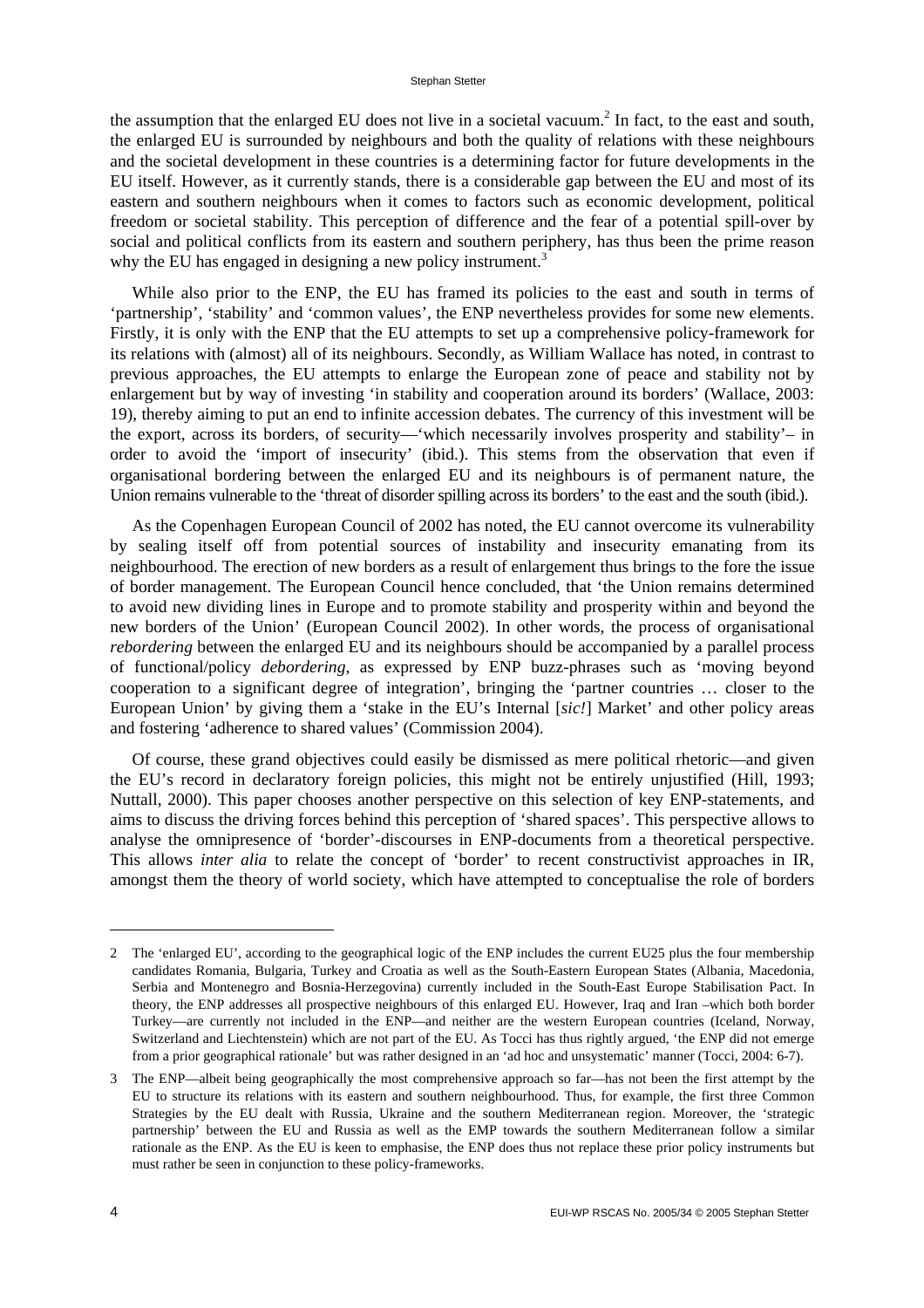the assumption that the enlarged EU does not live in a societal vacuum.<sup>2</sup> In fact, to the east and south, the enlarged EU is surrounded by neighbours and both the quality of relations with these neighbours and the societal development in these countries is a determining factor for future developments in the EU itself. However, as it currently stands, there is a considerable gap between the EU and most of its eastern and southern neighbours when it comes to factors such as economic development, political freedom or societal stability. This perception of difference and the fear of a potential spill-over by social and political conflicts from its eastern and southern periphery, has thus been the prime reason why the EU has engaged in designing a new policy instrument.<sup>3</sup>

While also prior to the ENP, the EU has framed its policies to the east and south in terms of 'partnership', 'stability' and 'common values', the ENP nevertheless provides for some new elements. Firstly, it is only with the ENP that the EU attempts to set up a comprehensive policy-framework for its relations with (almost) all of its neighbours. Secondly, as William Wallace has noted, in contrast to previous approaches, the EU attempts to enlarge the European zone of peace and stability not by enlargement but by way of investing 'in stability and cooperation around its borders' (Wallace, 2003: 19), thereby aiming to put an end to infinite accession debates. The currency of this investment will be the export, across its borders, of security—'which necessarily involves prosperity and stability'– in order to avoid the 'import of insecurity' (ibid.). This stems from the observation that even if organisational bordering between the enlarged EU and its neighbours is of permanent nature, the Union remains vulnerable to the 'threat of disorder spilling across its borders' to the east and the south (ibid.).

As the Copenhagen European Council of 2002 has noted, the EU cannot overcome its vulnerability by sealing itself off from potential sources of instability and insecurity emanating from its neighbourhood. The erection of new borders as a result of enlargement thus brings to the fore the issue of border management. The European Council hence concluded, that 'the Union remains determined to avoid new dividing lines in Europe and to promote stability and prosperity within and beyond the new borders of the Union' (European Council 2002). In other words, the process of organisational *rebordering* between the enlarged EU and its neighbours should be accompanied by a parallel process of functional/policy *debordering*, as expressed by ENP buzz-phrases such as 'moving beyond cooperation to a significant degree of integration', bringing the 'partner countries … closer to the European Union' by giving them a 'stake in the EU's Internal [*sic!*] Market' and other policy areas and fostering 'adherence to shared values' (Commission 2004).

Of course, these grand objectives could easily be dismissed as mere political rhetoric—and given the EU's record in declaratory foreign policies, this might not be entirely unjustified (Hill, 1993; Nuttall, 2000). This paper chooses another perspective on this selection of key ENP-statements, and aims to discuss the driving forces behind this perception of 'shared spaces'. This perspective allows to analyse the omnipresence of 'border'-discourses in ENP-documents from a theoretical perspective. This allows *inter alia* to relate the concept of 'border' to recent constructivist approaches in IR, amongst them the theory of world society, which have attempted to conceptualise the role of borders

<sup>2</sup> The 'enlarged EU', according to the geographical logic of the ENP includes the current EU25 plus the four membership candidates Romania, Bulgaria, Turkey and Croatia as well as the South-Eastern European States (Albania, Macedonia, Serbia and Montenegro and Bosnia-Herzegovina) currently included in the South-East Europe Stabilisation Pact. In theory, the ENP addresses all prospective neighbours of this enlarged EU. However, Iraq and Iran –which both border Turkey—are currently not included in the ENP—and neither are the western European countries (Iceland, Norway, Switzerland and Liechtenstein) which are not part of the EU. As Tocci has thus rightly argued, 'the ENP did not emerge from a prior geographical rationale' but was rather designed in an 'ad hoc and unsystematic' manner (Tocci, 2004: 6-7).

<sup>3</sup> The ENP—albeit being geographically the most comprehensive approach so far—has not been the first attempt by the EU to structure its relations with its eastern and southern neighbourhood. Thus, for example, the first three Common Strategies by the EU dealt with Russia, Ukraine and the southern Mediterranean region. Moreover, the 'strategic partnership' between the EU and Russia as well as the EMP towards the southern Mediterranean follow a similar rationale as the ENP. As the EU is keen to emphasise, the ENP does thus not replace these prior policy instruments but must rather be seen in conjunction to these policy-frameworks.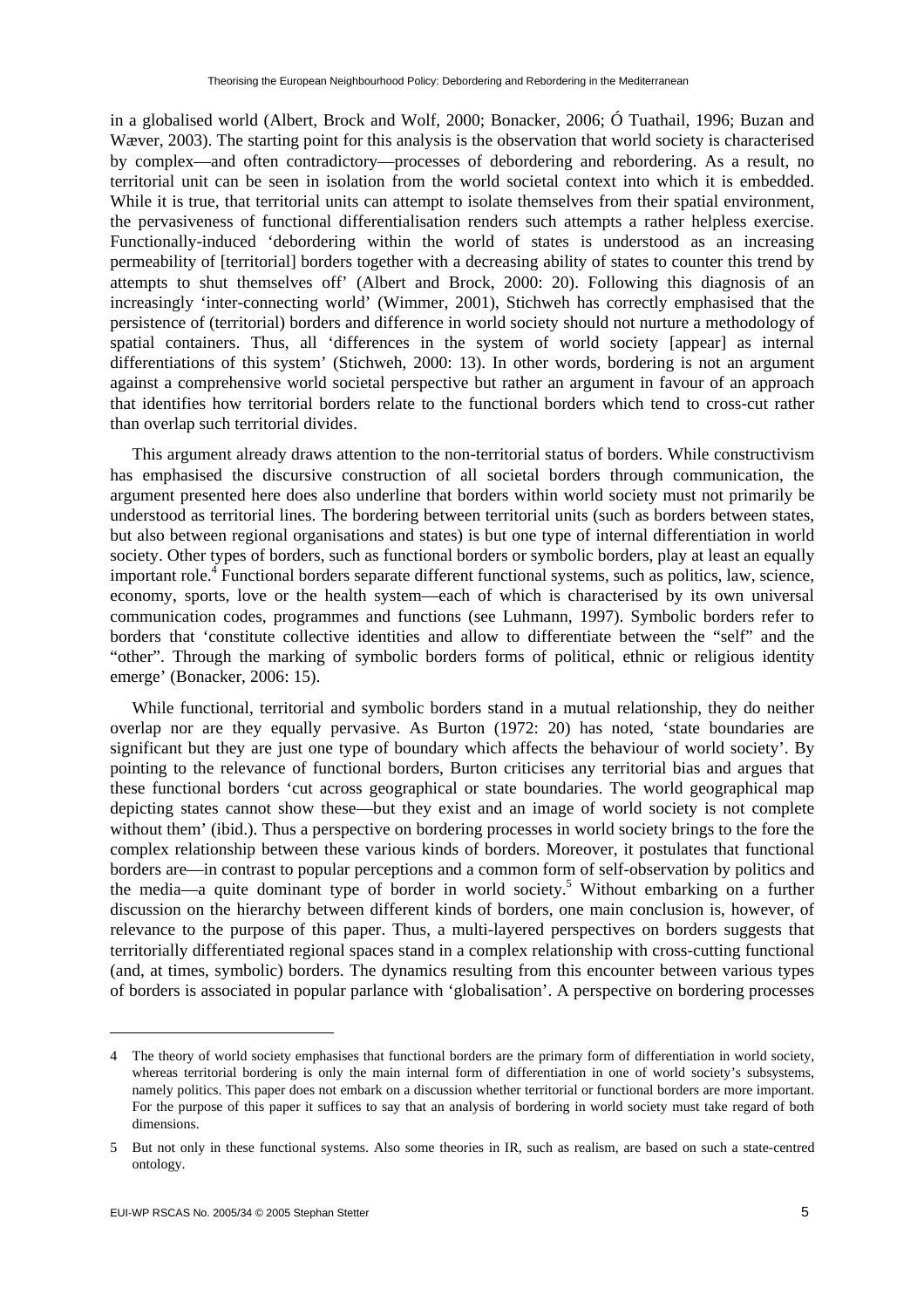in a globalised world (Albert, Brock and Wolf, 2000; Bonacker, 2006; Ó Tuathail, 1996; Buzan and Wæver, 2003). The starting point for this analysis is the observation that world society is characterised by complex—and often contradictory—processes of debordering and rebordering. As a result, no territorial unit can be seen in isolation from the world societal context into which it is embedded. While it is true, that territorial units can attempt to isolate themselves from their spatial environment, the pervasiveness of functional differentialisation renders such attempts a rather helpless exercise. Functionally-induced 'debordering within the world of states is understood as an increasing permeability of [territorial] borders together with a decreasing ability of states to counter this trend by attempts to shut themselves off' (Albert and Brock, 2000: 20). Following this diagnosis of an increasingly 'inter-connecting world' (Wimmer, 2001), Stichweh has correctly emphasised that the persistence of (territorial) borders and difference in world society should not nurture a methodology of spatial containers. Thus, all 'differences in the system of world society [appear] as internal differentiations of this system' (Stichweh, 2000: 13). In other words, bordering is not an argument against a comprehensive world societal perspective but rather an argument in favour of an approach that identifies how territorial borders relate to the functional borders which tend to cross-cut rather than overlap such territorial divides.

This argument already draws attention to the non-territorial status of borders. While constructivism has emphasised the discursive construction of all societal borders through communication, the argument presented here does also underline that borders within world society must not primarily be understood as territorial lines. The bordering between territorial units (such as borders between states, but also between regional organisations and states) is but one type of internal differentiation in world society. Other types of borders, such as functional borders or symbolic borders, play at least an equally important role.<sup>4</sup> Functional borders separate different functional systems, such as politics, law, science, economy, sports, love or the health system—each of which is characterised by its own universal communication codes, programmes and functions (see Luhmann, 1997). Symbolic borders refer to borders that 'constitute collective identities and allow to differentiate between the "self" and the "other". Through the marking of symbolic borders forms of political, ethnic or religious identity emerge' (Bonacker, 2006: 15).

While functional, territorial and symbolic borders stand in a mutual relationship, they do neither overlap nor are they equally pervasive. As Burton (1972: 20) has noted, 'state boundaries are significant but they are just one type of boundary which affects the behaviour of world society'. By pointing to the relevance of functional borders, Burton criticises any territorial bias and argues that these functional borders 'cut across geographical or state boundaries. The world geographical map depicting states cannot show these—but they exist and an image of world society is not complete without them' (ibid.). Thus a perspective on bordering processes in world society brings to the fore the complex relationship between these various kinds of borders. Moreover, it postulates that functional borders are—in contrast to popular perceptions and a common form of self-observation by politics and the media—a quite dominant type of border in world society.<sup>5</sup> Without embarking on a further discussion on the hierarchy between different kinds of borders, one main conclusion is, however, of relevance to the purpose of this paper. Thus, a multi-layered perspectives on borders suggests that territorially differentiated regional spaces stand in a complex relationship with cross-cutting functional (and, at times, symbolic) borders. The dynamics resulting from this encounter between various types of borders is associated in popular parlance with 'globalisation'. A perspective on bordering processes

<sup>4</sup> The theory of world society emphasises that functional borders are the primary form of differentiation in world society, whereas territorial bordering is only the main internal form of differentiation in one of world society's subsystems, namely politics. This paper does not embark on a discussion whether territorial or functional borders are more important. For the purpose of this paper it suffices to say that an analysis of bordering in world society must take regard of both dimensions.

<sup>5</sup> But not only in these functional systems. Also some theories in IR, such as realism, are based on such a state-centred ontology.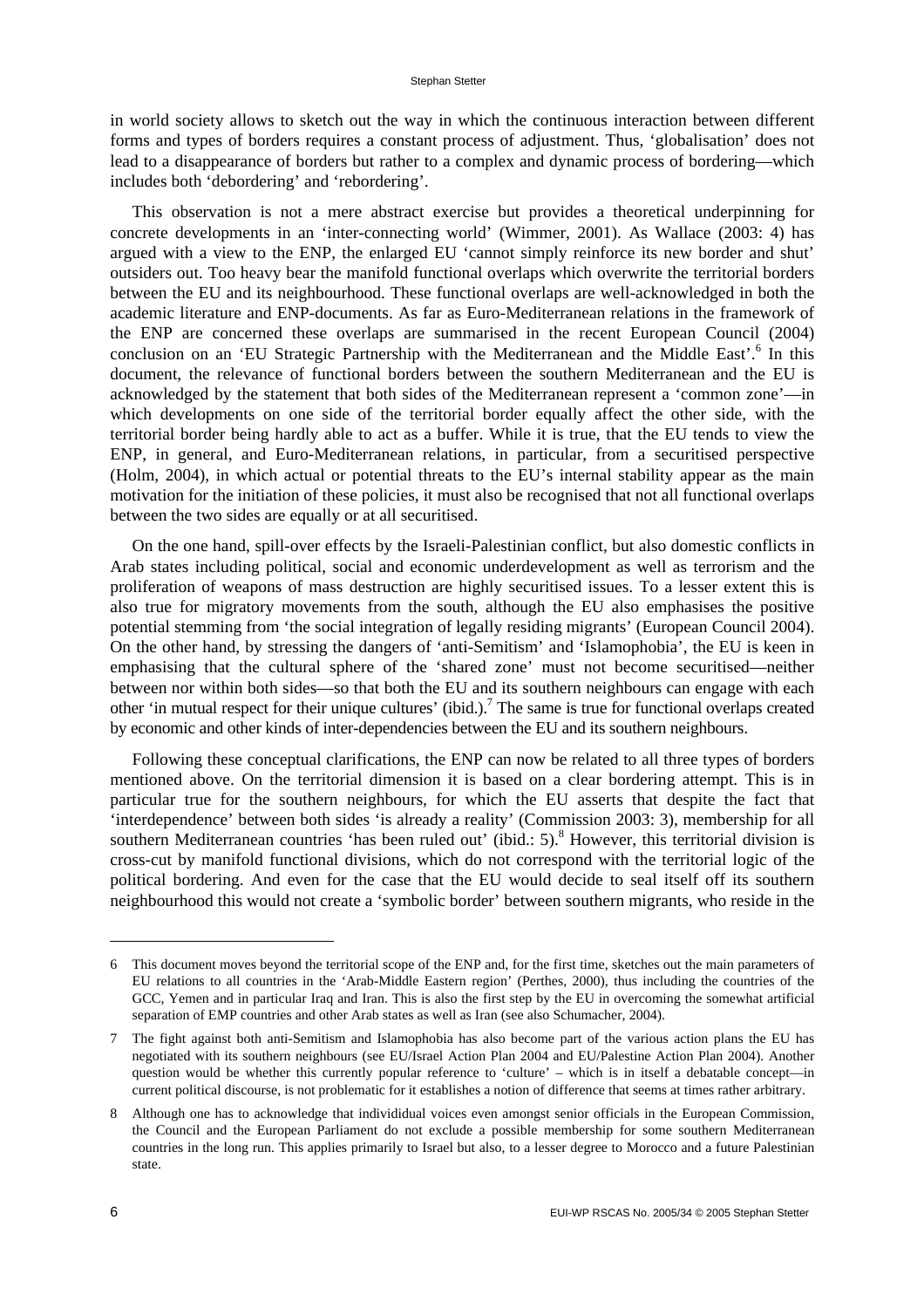in world society allows to sketch out the way in which the continuous interaction between different forms and types of borders requires a constant process of adjustment. Thus, 'globalisation' does not lead to a disappearance of borders but rather to a complex and dynamic process of bordering—which includes both 'debordering' and 'rebordering'.

This observation is not a mere abstract exercise but provides a theoretical underpinning for concrete developments in an 'inter-connecting world' (Wimmer, 2001). As Wallace (2003: 4) has argued with a view to the ENP, the enlarged EU 'cannot simply reinforce its new border and shut' outsiders out. Too heavy bear the manifold functional overlaps which overwrite the territorial borders between the EU and its neighbourhood. These functional overlaps are well-acknowledged in both the academic literature and ENP-documents. As far as Euro-Mediterranean relations in the framework of the ENP are concerned these overlaps are summarised in the recent European Council (2004) conclusion on an 'EU Strategic Partnership with the Mediterranean and the Middle East'.<sup>6</sup> In this document, the relevance of functional borders between the southern Mediterranean and the EU is acknowledged by the statement that both sides of the Mediterranean represent a 'common zone'—in which developments on one side of the territorial border equally affect the other side, with the territorial border being hardly able to act as a buffer. While it is true, that the EU tends to view the ENP, in general, and Euro-Mediterranean relations, in particular, from a securitised perspective (Holm, 2004), in which actual or potential threats to the EU's internal stability appear as the main motivation for the initiation of these policies, it must also be recognised that not all functional overlaps between the two sides are equally or at all securitised.

On the one hand, spill-over effects by the Israeli-Palestinian conflict, but also domestic conflicts in Arab states including political, social and economic underdevelopment as well as terrorism and the proliferation of weapons of mass destruction are highly securitised issues. To a lesser extent this is also true for migratory movements from the south, although the EU also emphasises the positive potential stemming from 'the social integration of legally residing migrants' (European Council 2004). On the other hand, by stressing the dangers of 'anti-Semitism' and 'Islamophobia', the EU is keen in emphasising that the cultural sphere of the 'shared zone' must not become securitised—neither between nor within both sides—so that both the EU and its southern neighbours can engage with each other 'in mutual respect for their unique cultures' (ibid.).<sup>7</sup> The same is true for functional overlaps created by economic and other kinds of inter-dependencies between the EU and its southern neighbours.

Following these conceptual clarifications, the ENP can now be related to all three types of borders mentioned above. On the territorial dimension it is based on a clear bordering attempt. This is in particular true for the southern neighbours, for which the EU asserts that despite the fact that 'interdependence' between both sides 'is already a reality' (Commission 2003: 3), membership for all southern Mediterranean countries 'has been ruled out' (ibid.:  $5$ ). However, this territorial division is cross-cut by manifold functional divisions, which do not correspond with the territorial logic of the political bordering. And even for the case that the EU would decide to seal itself off its southern neighbourhood this would not create a 'symbolic border' between southern migrants, who reside in the

<sup>6</sup> This document moves beyond the territorial scope of the ENP and, for the first time, sketches out the main parameters of EU relations to all countries in the 'Arab-Middle Eastern region' (Perthes, 2000), thus including the countries of the GCC, Yemen and in particular Iraq and Iran. This is also the first step by the EU in overcoming the somewhat artificial separation of EMP countries and other Arab states as well as Iran (see also Schumacher, 2004).

<sup>7</sup> The fight against both anti-Semitism and Islamophobia has also become part of the various action plans the EU has negotiated with its southern neighbours (see EU/Israel Action Plan 2004 and EU/Palestine Action Plan 2004). Another question would be whether this currently popular reference to 'culture' – which is in itself a debatable concept—in current political discourse, is not problematic for it establishes a notion of difference that seems at times rather arbitrary.

<sup>8</sup> Although one has to acknowledge that individidual voices even amongst senior officials in the European Commission, the Council and the European Parliament do not exclude a possible membership for some southern Mediterranean countries in the long run. This applies primarily to Israel but also, to a lesser degree to Morocco and a future Palestinian state.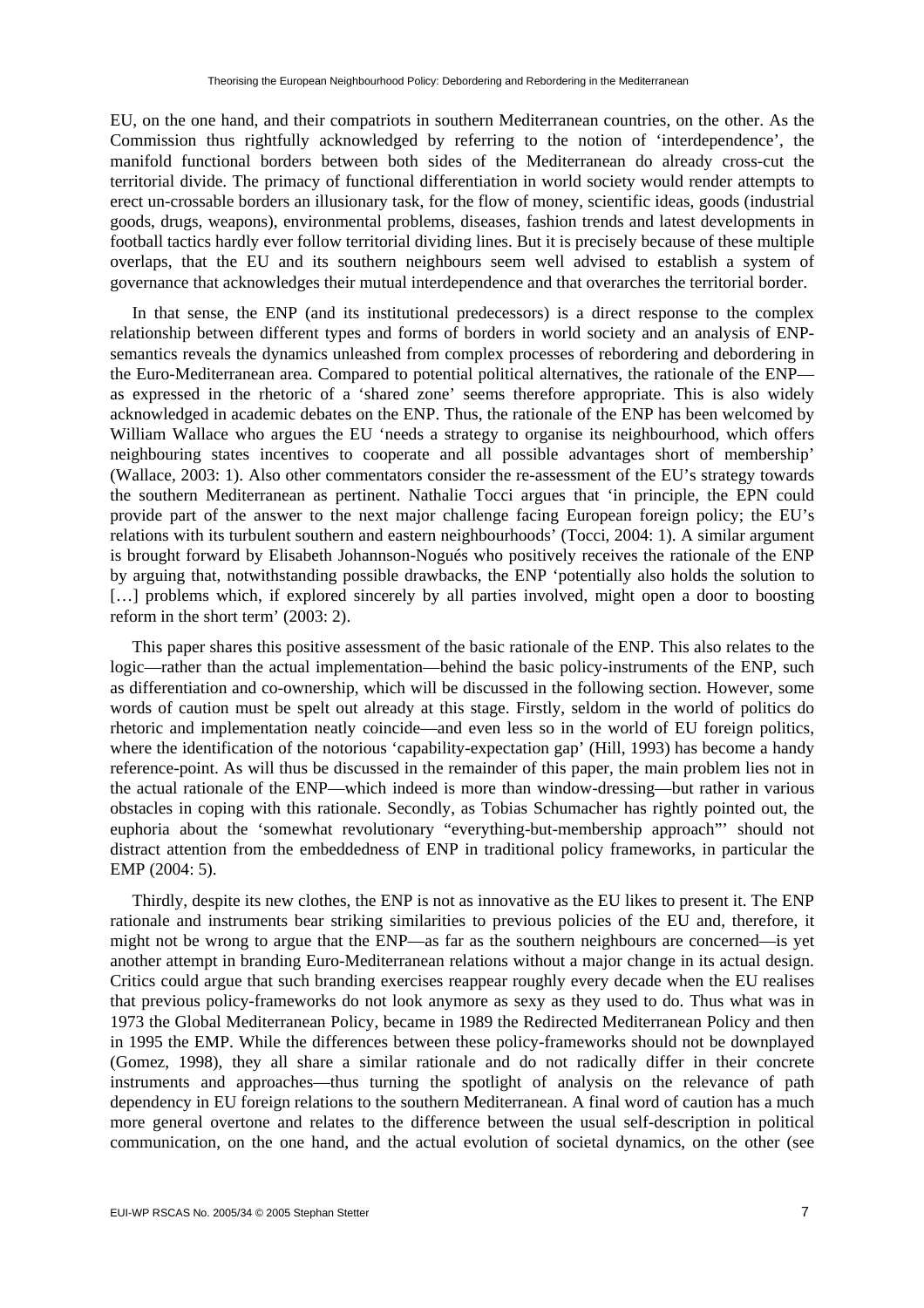EU, on the one hand, and their compatriots in southern Mediterranean countries, on the other. As the Commission thus rightfully acknowledged by referring to the notion of 'interdependence', the manifold functional borders between both sides of the Mediterranean do already cross-cut the territorial divide. The primacy of functional differentiation in world society would render attempts to erect un-crossable borders an illusionary task, for the flow of money, scientific ideas, goods (industrial goods, drugs, weapons), environmental problems, diseases, fashion trends and latest developments in football tactics hardly ever follow territorial dividing lines. But it is precisely because of these multiple overlaps, that the EU and its southern neighbours seem well advised to establish a system of governance that acknowledges their mutual interdependence and that overarches the territorial border.

In that sense, the ENP (and its institutional predecessors) is a direct response to the complex relationship between different types and forms of borders in world society and an analysis of ENPsemantics reveals the dynamics unleashed from complex processes of rebordering and debordering in the Euro-Mediterranean area. Compared to potential political alternatives, the rationale of the ENP as expressed in the rhetoric of a 'shared zone' seems therefore appropriate. This is also widely acknowledged in academic debates on the ENP. Thus, the rationale of the ENP has been welcomed by William Wallace who argues the EU 'needs a strategy to organise its neighbourhood, which offers neighbouring states incentives to cooperate and all possible advantages short of membership' (Wallace, 2003: 1). Also other commentators consider the re-assessment of the EU's strategy towards the southern Mediterranean as pertinent. Nathalie Tocci argues that 'in principle, the EPN could provide part of the answer to the next major challenge facing European foreign policy; the EU's relations with its turbulent southern and eastern neighbourhoods' (Tocci, 2004: 1). A similar argument is brought forward by Elisabeth Johannson-Nogués who positively receives the rationale of the ENP by arguing that, notwithstanding possible drawbacks, the ENP 'potentially also holds the solution to [...] problems which, if explored sincerely by all parties involved, might open a door to boosting reform in the short term' (2003: 2).

This paper shares this positive assessment of the basic rationale of the ENP. This also relates to the logic—rather than the actual implementation—behind the basic policy-instruments of the ENP, such as differentiation and co-ownership, which will be discussed in the following section. However, some words of caution must be spelt out already at this stage. Firstly, seldom in the world of politics do rhetoric and implementation neatly coincide—and even less so in the world of EU foreign politics, where the identification of the notorious 'capability-expectation gap' (Hill, 1993) has become a handy reference-point. As will thus be discussed in the remainder of this paper, the main problem lies not in the actual rationale of the ENP—which indeed is more than window-dressing—but rather in various obstacles in coping with this rationale. Secondly, as Tobias Schumacher has rightly pointed out, the euphoria about the 'somewhat revolutionary "everything-but-membership approach"' should not distract attention from the embeddedness of ENP in traditional policy frameworks, in particular the EMP (2004: 5).

Thirdly, despite its new clothes, the ENP is not as innovative as the EU likes to present it. The ENP rationale and instruments bear striking similarities to previous policies of the EU and, therefore, it might not be wrong to argue that the ENP—as far as the southern neighbours are concerned—is yet another attempt in branding Euro-Mediterranean relations without a major change in its actual design. Critics could argue that such branding exercises reappear roughly every decade when the EU realises that previous policy-frameworks do not look anymore as sexy as they used to do. Thus what was in 1973 the Global Mediterranean Policy, became in 1989 the Redirected Mediterranean Policy and then in 1995 the EMP. While the differences between these policy-frameworks should not be downplayed (Gomez, 1998), they all share a similar rationale and do not radically differ in their concrete instruments and approaches—thus turning the spotlight of analysis on the relevance of path dependency in EU foreign relations to the southern Mediterranean. A final word of caution has a much more general overtone and relates to the difference between the usual self-description in political communication, on the one hand, and the actual evolution of societal dynamics, on the other (see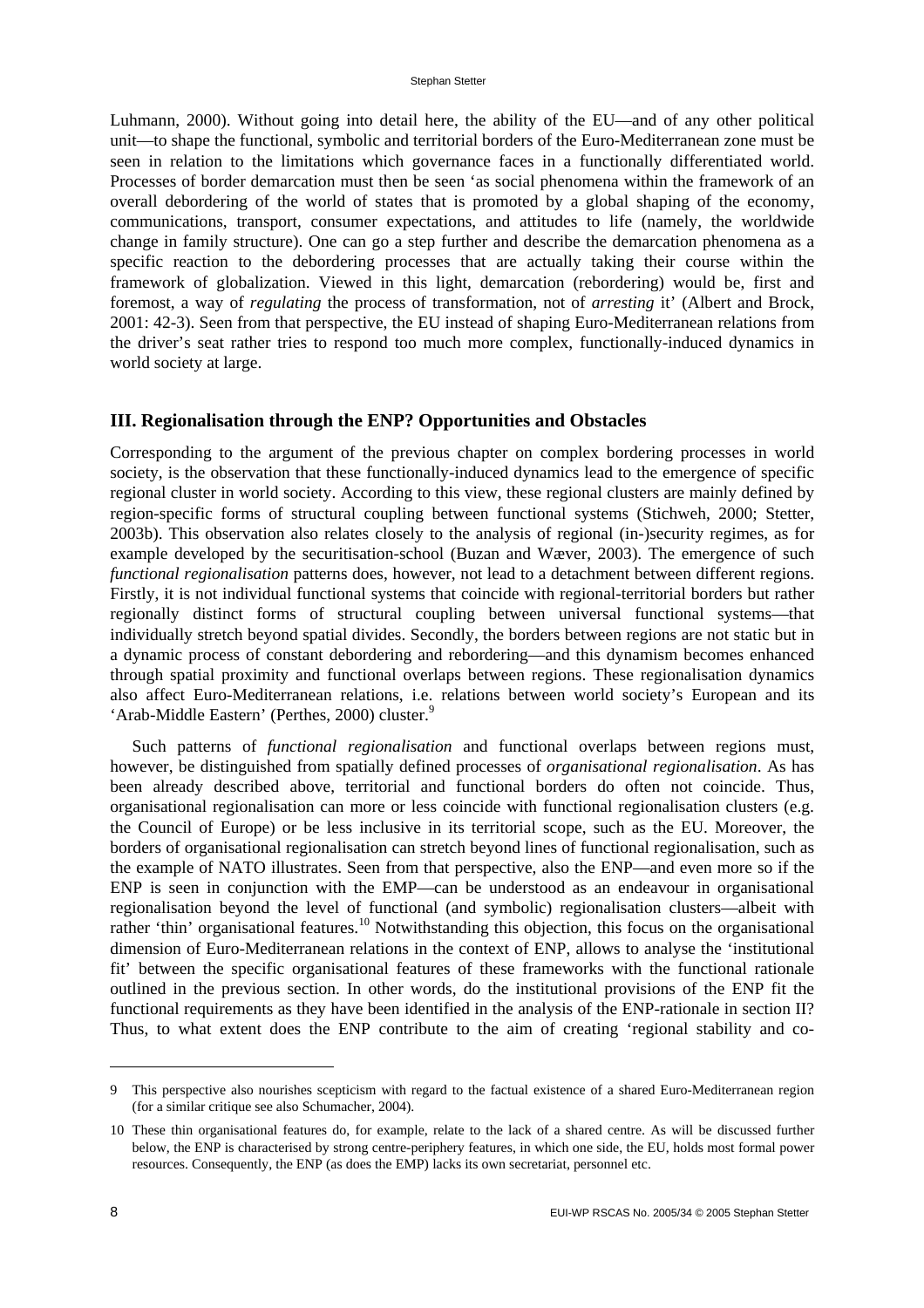Luhmann, 2000). Without going into detail here, the ability of the EU—and of any other political unit—to shape the functional, symbolic and territorial borders of the Euro-Mediterranean zone must be seen in relation to the limitations which governance faces in a functionally differentiated world. Processes of border demarcation must then be seen 'as social phenomena within the framework of an overall debordering of the world of states that is promoted by a global shaping of the economy, communications, transport, consumer expectations, and attitudes to life (namely, the worldwide change in family structure). One can go a step further and describe the demarcation phenomena as a specific reaction to the debordering processes that are actually taking their course within the framework of globalization. Viewed in this light, demarcation (rebordering) would be, first and foremost, a way of *regulating* the process of transformation, not of *arresting* it' (Albert and Brock, 2001: 42-3). Seen from that perspective, the EU instead of shaping Euro-Mediterranean relations from the driver's seat rather tries to respond too much more complex, functionally-induced dynamics in world society at large.

#### **III. Regionalisation through the ENP? Opportunities and Obstacles**

Corresponding to the argument of the previous chapter on complex bordering processes in world society, is the observation that these functionally-induced dynamics lead to the emergence of specific regional cluster in world society. According to this view, these regional clusters are mainly defined by region-specific forms of structural coupling between functional systems (Stichweh, 2000; Stetter, 2003b). This observation also relates closely to the analysis of regional (in-)security regimes, as for example developed by the securitisation-school (Buzan and Wæver, 2003). The emergence of such *functional regionalisation* patterns does, however, not lead to a detachment between different regions. Firstly, it is not individual functional systems that coincide with regional-territorial borders but rather regionally distinct forms of structural coupling between universal functional systems—that individually stretch beyond spatial divides. Secondly, the borders between regions are not static but in a dynamic process of constant debordering and rebordering—and this dynamism becomes enhanced through spatial proximity and functional overlaps between regions. These regionalisation dynamics also affect Euro-Mediterranean relations, i.e. relations between world society's European and its 'Arab-Middle Eastern' (Perthes, 2000) cluster.<sup>9</sup>

Such patterns of *functional regionalisation* and functional overlaps between regions must, however, be distinguished from spatially defined processes of *organisational regionalisation*. As has been already described above, territorial and functional borders do often not coincide. Thus, organisational regionalisation can more or less coincide with functional regionalisation clusters (e.g. the Council of Europe) or be less inclusive in its territorial scope, such as the EU. Moreover, the borders of organisational regionalisation can stretch beyond lines of functional regionalisation, such as the example of NATO illustrates. Seen from that perspective, also the ENP—and even more so if the ENP is seen in conjunction with the EMP—can be understood as an endeavour in organisational regionalisation beyond the level of functional (and symbolic) regionalisation clusters—albeit with rather 'thin' organisational features.<sup>10</sup> Notwithstanding this objection, this focus on the organisational dimension of Euro-Mediterranean relations in the context of ENP, allows to analyse the 'institutional fit' between the specific organisational features of these frameworks with the functional rationale outlined in the previous section. In other words, do the institutional provisions of the ENP fit the functional requirements as they have been identified in the analysis of the ENP-rationale in section II? Thus, to what extent does the ENP contribute to the aim of creating 'regional stability and co-

<sup>9</sup> This perspective also nourishes scepticism with regard to the factual existence of a shared Euro-Mediterranean region (for a similar critique see also Schumacher, 2004).

<sup>10</sup> These thin organisational features do, for example, relate to the lack of a shared centre. As will be discussed further below, the ENP is characterised by strong centre-periphery features, in which one side, the EU, holds most formal power resources. Consequently, the ENP (as does the EMP) lacks its own secretariat, personnel etc.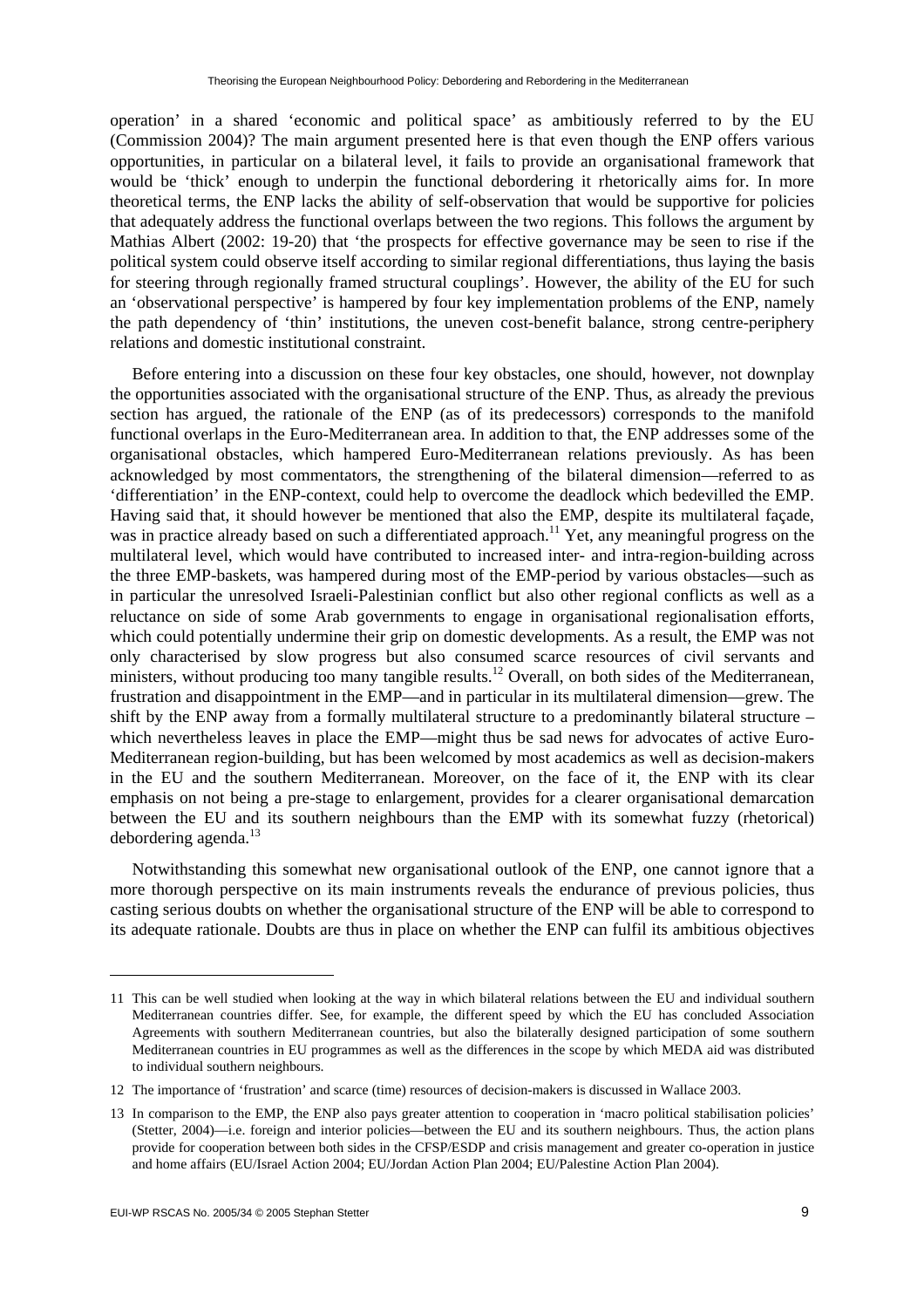operation' in a shared 'economic and political space' as ambitiously referred to by the EU (Commission 2004)? The main argument presented here is that even though the ENP offers various opportunities, in particular on a bilateral level, it fails to provide an organisational framework that would be 'thick' enough to underpin the functional debordering it rhetorically aims for. In more theoretical terms, the ENP lacks the ability of self-observation that would be supportive for policies that adequately address the functional overlaps between the two regions. This follows the argument by Mathias Albert (2002: 19-20) that 'the prospects for effective governance may be seen to rise if the political system could observe itself according to similar regional differentiations, thus laying the basis for steering through regionally framed structural couplings'. However, the ability of the EU for such an 'observational perspective' is hampered by four key implementation problems of the ENP, namely the path dependency of 'thin' institutions, the uneven cost-benefit balance, strong centre-periphery relations and domestic institutional constraint.

Before entering into a discussion on these four key obstacles, one should, however, not downplay the opportunities associated with the organisational structure of the ENP. Thus, as already the previous section has argued, the rationale of the ENP (as of its predecessors) corresponds to the manifold functional overlaps in the Euro-Mediterranean area. In addition to that, the ENP addresses some of the organisational obstacles, which hampered Euro-Mediterranean relations previously. As has been acknowledged by most commentators, the strengthening of the bilateral dimension—referred to as 'differentiation' in the ENP-context, could help to overcome the deadlock which bedevilled the EMP. Having said that, it should however be mentioned that also the EMP, despite its multilateral façade, was in practice already based on such a differentiated approach.<sup>11</sup> Yet, any meaningful progress on the multilateral level, which would have contributed to increased inter- and intra-region-building across the three EMP-baskets, was hampered during most of the EMP-period by various obstacles—such as in particular the unresolved Israeli-Palestinian conflict but also other regional conflicts as well as a reluctance on side of some Arab governments to engage in organisational regionalisation efforts, which could potentially undermine their grip on domestic developments. As a result, the EMP was not only characterised by slow progress but also consumed scarce resources of civil servants and ministers, without producing too many tangible results.<sup>12</sup> Overall, on both sides of the Mediterranean, frustration and disappointment in the EMP—and in particular in its multilateral dimension—grew. The shift by the ENP away from a formally multilateral structure to a predominantly bilateral structure  $$ which nevertheless leaves in place the EMP—might thus be sad news for advocates of active Euro-Mediterranean region-building, but has been welcomed by most academics as well as decision-makers in the EU and the southern Mediterranean. Moreover, on the face of it, the ENP with its clear emphasis on not being a pre-stage to enlargement, provides for a clearer organisational demarcation between the EU and its southern neighbours than the EMP with its somewhat fuzzy (rhetorical) debordering agenda. $^{13}$ 

Notwithstanding this somewhat new organisational outlook of the ENP, one cannot ignore that a more thorough perspective on its main instruments reveals the endurance of previous policies, thus casting serious doubts on whether the organisational structure of the ENP will be able to correspond to its adequate rationale. Doubts are thus in place on whether the ENP can fulfil its ambitious objectives

 $\overline{\phantom{a}}$ 

<sup>11</sup> This can be well studied when looking at the way in which bilateral relations between the EU and individual southern Mediterranean countries differ. See, for example, the different speed by which the EU has concluded Association Agreements with southern Mediterranean countries, but also the bilaterally designed participation of some southern Mediterranean countries in EU programmes as well as the differences in the scope by which MEDA aid was distributed to individual southern neighbours.

<sup>12</sup> The importance of 'frustration' and scarce (time) resources of decision-makers is discussed in Wallace 2003.

<sup>13</sup> In comparison to the EMP, the ENP also pays greater attention to cooperation in 'macro political stabilisation policies' (Stetter, 2004)—i.e. foreign and interior policies—between the EU and its southern neighbours. Thus, the action plans provide for cooperation between both sides in the CFSP/ESDP and crisis management and greater co-operation in justice and home affairs (EU/Israel Action 2004; EU/Jordan Action Plan 2004; EU/Palestine Action Plan 2004).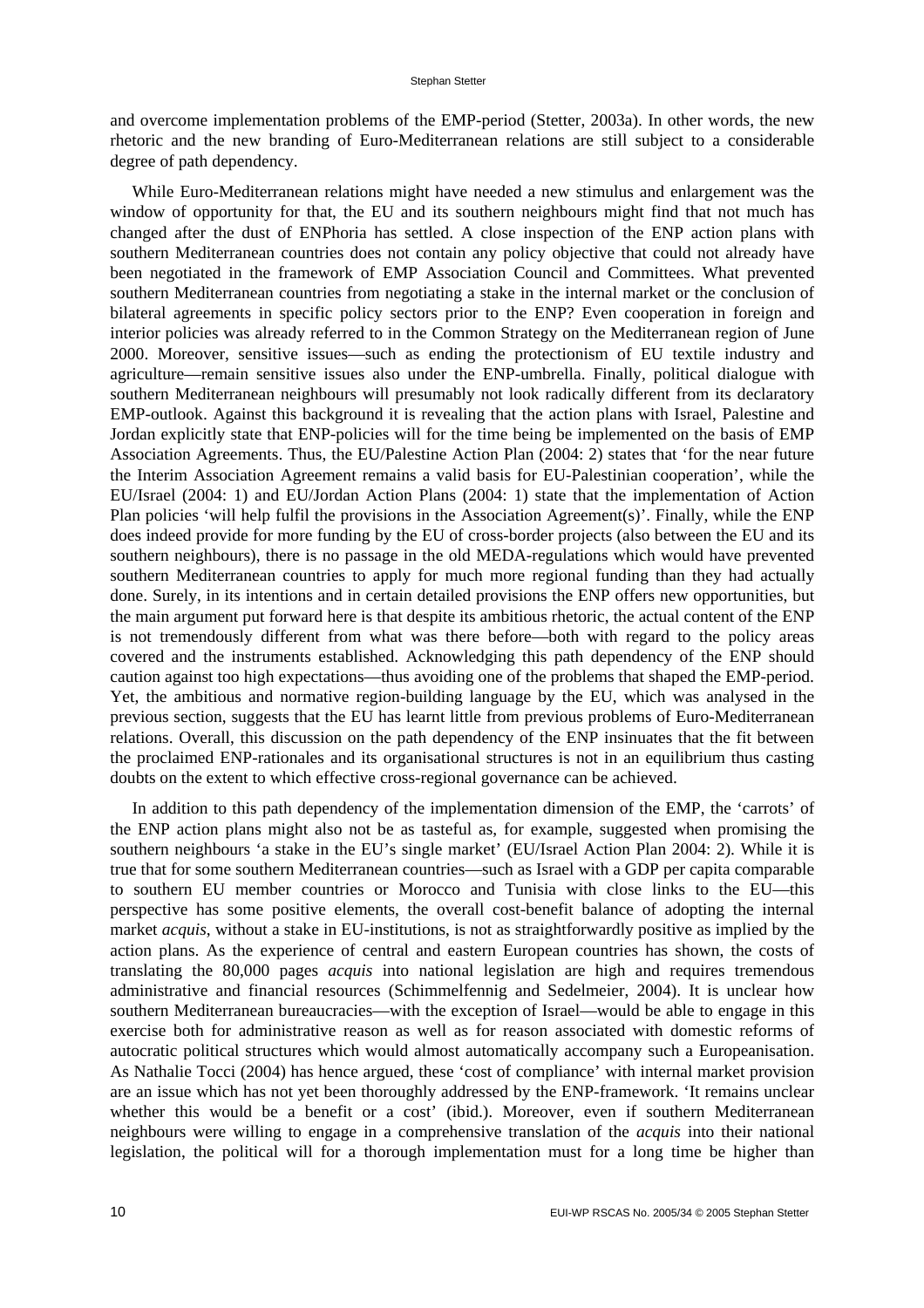and overcome implementation problems of the EMP-period (Stetter, 2003a). In other words, the new rhetoric and the new branding of Euro-Mediterranean relations are still subject to a considerable degree of path dependency.

While Euro-Mediterranean relations might have needed a new stimulus and enlargement was the window of opportunity for that, the EU and its southern neighbours might find that not much has changed after the dust of ENPhoria has settled. A close inspection of the ENP action plans with southern Mediterranean countries does not contain any policy objective that could not already have been negotiated in the framework of EMP Association Council and Committees. What prevented southern Mediterranean countries from negotiating a stake in the internal market or the conclusion of bilateral agreements in specific policy sectors prior to the ENP? Even cooperation in foreign and interior policies was already referred to in the Common Strategy on the Mediterranean region of June 2000. Moreover, sensitive issues—such as ending the protectionism of EU textile industry and agriculture—remain sensitive issues also under the ENP-umbrella. Finally, political dialogue with southern Mediterranean neighbours will presumably not look radically different from its declaratory EMP-outlook. Against this background it is revealing that the action plans with Israel, Palestine and Jordan explicitly state that ENP-policies will for the time being be implemented on the basis of EMP Association Agreements. Thus, the EU/Palestine Action Plan (2004: 2) states that 'for the near future the Interim Association Agreement remains a valid basis for EU-Palestinian cooperation', while the EU/Israel (2004: 1) and EU/Jordan Action Plans (2004: 1) state that the implementation of Action Plan policies 'will help fulfil the provisions in the Association Agreement(s)'. Finally, while the ENP does indeed provide for more funding by the EU of cross-border projects (also between the EU and its southern neighbours), there is no passage in the old MEDA-regulations which would have prevented southern Mediterranean countries to apply for much more regional funding than they had actually done. Surely, in its intentions and in certain detailed provisions the ENP offers new opportunities, but the main argument put forward here is that despite its ambitious rhetoric, the actual content of the ENP is not tremendously different from what was there before—both with regard to the policy areas covered and the instruments established. Acknowledging this path dependency of the ENP should caution against too high expectations—thus avoiding one of the problems that shaped the EMP-period. Yet, the ambitious and normative region-building language by the EU, which was analysed in the previous section, suggests that the EU has learnt little from previous problems of Euro-Mediterranean relations. Overall, this discussion on the path dependency of the ENP insinuates that the fit between the proclaimed ENP-rationales and its organisational structures is not in an equilibrium thus casting doubts on the extent to which effective cross-regional governance can be achieved.

In addition to this path dependency of the implementation dimension of the EMP, the 'carrots' of the ENP action plans might also not be as tasteful as, for example, suggested when promising the southern neighbours 'a stake in the EU's single market' (EU/Israel Action Plan 2004: 2). While it is true that for some southern Mediterranean countries—such as Israel with a GDP per capita comparable to southern EU member countries or Morocco and Tunisia with close links to the EU—this perspective has some positive elements, the overall cost-benefit balance of adopting the internal market *acquis*, without a stake in EU-institutions, is not as straightforwardly positive as implied by the action plans. As the experience of central and eastern European countries has shown, the costs of translating the 80,000 pages *acquis* into national legislation are high and requires tremendous administrative and financial resources (Schimmelfennig and Sedelmeier, 2004). It is unclear how southern Mediterranean bureaucracies—with the exception of Israel—would be able to engage in this exercise both for administrative reason as well as for reason associated with domestic reforms of autocratic political structures which would almost automatically accompany such a Europeanisation. As Nathalie Tocci (2004) has hence argued, these 'cost of compliance' with internal market provision are an issue which has not yet been thoroughly addressed by the ENP-framework. 'It remains unclear whether this would be a benefit or a cost' (ibid.). Moreover, even if southern Mediterranean neighbours were willing to engage in a comprehensive translation of the *acquis* into their national legislation, the political will for a thorough implementation must for a long time be higher than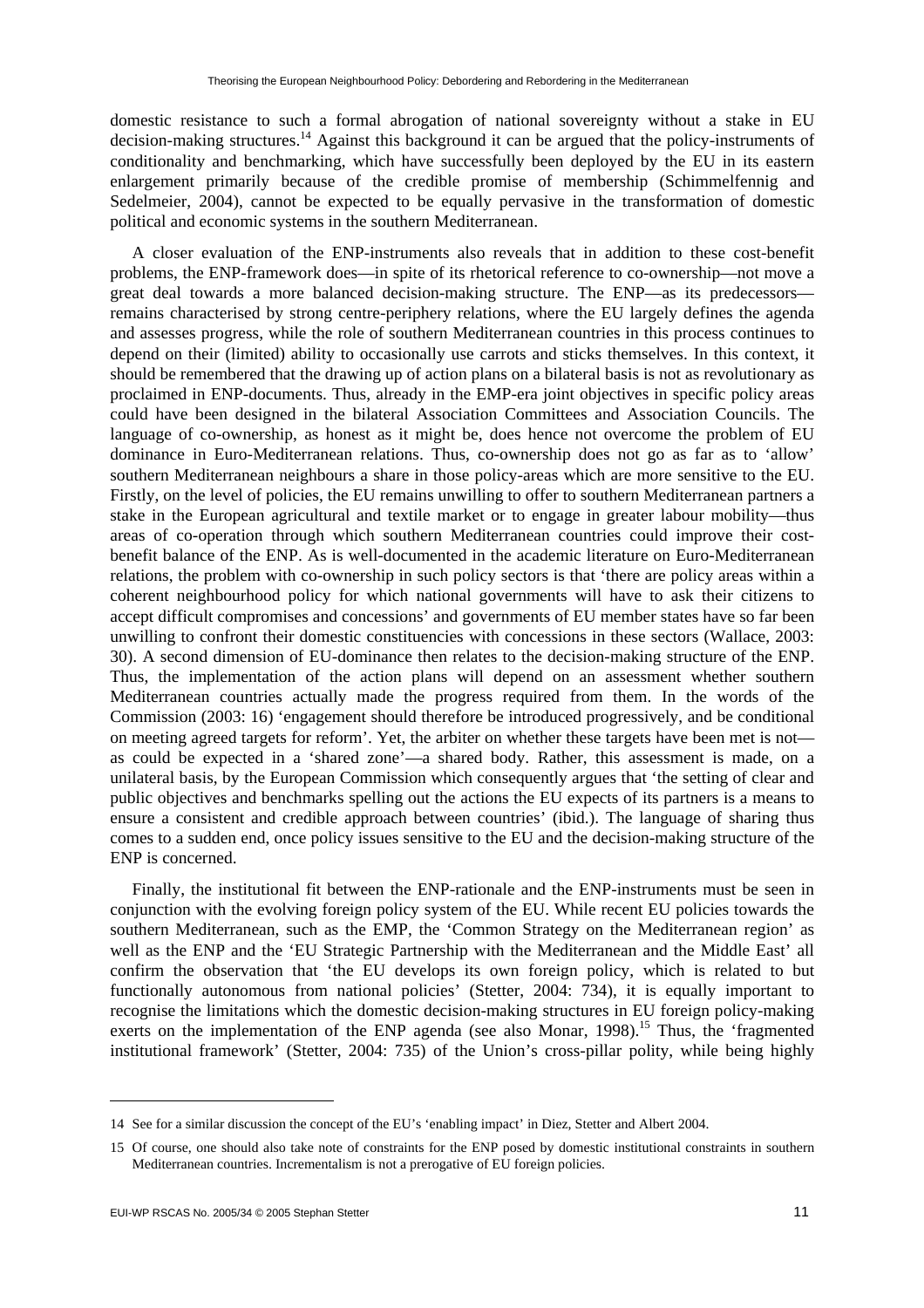domestic resistance to such a formal abrogation of national sovereignty without a stake in EU decision-making structures.<sup>14</sup> Against this background it can be argued that the policy-instruments of conditionality and benchmarking, which have successfully been deployed by the EU in its eastern enlargement primarily because of the credible promise of membership (Schimmelfennig and Sedelmeier, 2004), cannot be expected to be equally pervasive in the transformation of domestic political and economic systems in the southern Mediterranean.

A closer evaluation of the ENP-instruments also reveals that in addition to these cost-benefit problems, the ENP-framework does—in spite of its rhetorical reference to co-ownership—not move a great deal towards a more balanced decision-making structure. The ENP—as its predecessors remains characterised by strong centre-periphery relations, where the EU largely defines the agenda and assesses progress, while the role of southern Mediterranean countries in this process continues to depend on their (limited) ability to occasionally use carrots and sticks themselves. In this context, it should be remembered that the drawing up of action plans on a bilateral basis is not as revolutionary as proclaimed in ENP-documents. Thus, already in the EMP-era joint objectives in specific policy areas could have been designed in the bilateral Association Committees and Association Councils. The language of co-ownership, as honest as it might be, does hence not overcome the problem of EU dominance in Euro-Mediterranean relations. Thus, co-ownership does not go as far as to 'allow' southern Mediterranean neighbours a share in those policy-areas which are more sensitive to the EU. Firstly, on the level of policies, the EU remains unwilling to offer to southern Mediterranean partners a stake in the European agricultural and textile market or to engage in greater labour mobility—thus areas of co-operation through which southern Mediterranean countries could improve their costbenefit balance of the ENP. As is well-documented in the academic literature on Euro-Mediterranean relations, the problem with co-ownership in such policy sectors is that 'there are policy areas within a coherent neighbourhood policy for which national governments will have to ask their citizens to accept difficult compromises and concessions' and governments of EU member states have so far been unwilling to confront their domestic constituencies with concessions in these sectors (Wallace, 2003: 30). A second dimension of EU-dominance then relates to the decision-making structure of the ENP. Thus, the implementation of the action plans will depend on an assessment whether southern Mediterranean countries actually made the progress required from them. In the words of the Commission (2003: 16) 'engagement should therefore be introduced progressively, and be conditional on meeting agreed targets for reform'. Yet, the arbiter on whether these targets have been met is not as could be expected in a 'shared zone'—a shared body. Rather, this assessment is made, on a unilateral basis, by the European Commission which consequently argues that 'the setting of clear and public objectives and benchmarks spelling out the actions the EU expects of its partners is a means to ensure a consistent and credible approach between countries' (ibid.). The language of sharing thus comes to a sudden end, once policy issues sensitive to the EU and the decision-making structure of the ENP is concerned.

Finally, the institutional fit between the ENP-rationale and the ENP-instruments must be seen in conjunction with the evolving foreign policy system of the EU. While recent EU policies towards the southern Mediterranean, such as the EMP, the 'Common Strategy on the Mediterranean region' as well as the ENP and the 'EU Strategic Partnership with the Mediterranean and the Middle East' all confirm the observation that 'the EU develops its own foreign policy, which is related to but functionally autonomous from national policies' (Stetter, 2004: 734), it is equally important to recognise the limitations which the domestic decision-making structures in EU foreign policy-making exerts on the implementation of the ENP agenda (see also Monar,  $1998$ ).<sup>15</sup> Thus, the 'fragmented institutional framework' (Stetter, 2004: 735) of the Union's cross-pillar polity, while being highly

 $\overline{\phantom{a}}$ 

<sup>14</sup> See for a similar discussion the concept of the EU's 'enabling impact' in Diez, Stetter and Albert 2004.

<sup>15</sup> Of course, one should also take note of constraints for the ENP posed by domestic institutional constraints in southern Mediterranean countries. Incrementalism is not a prerogative of EU foreign policies.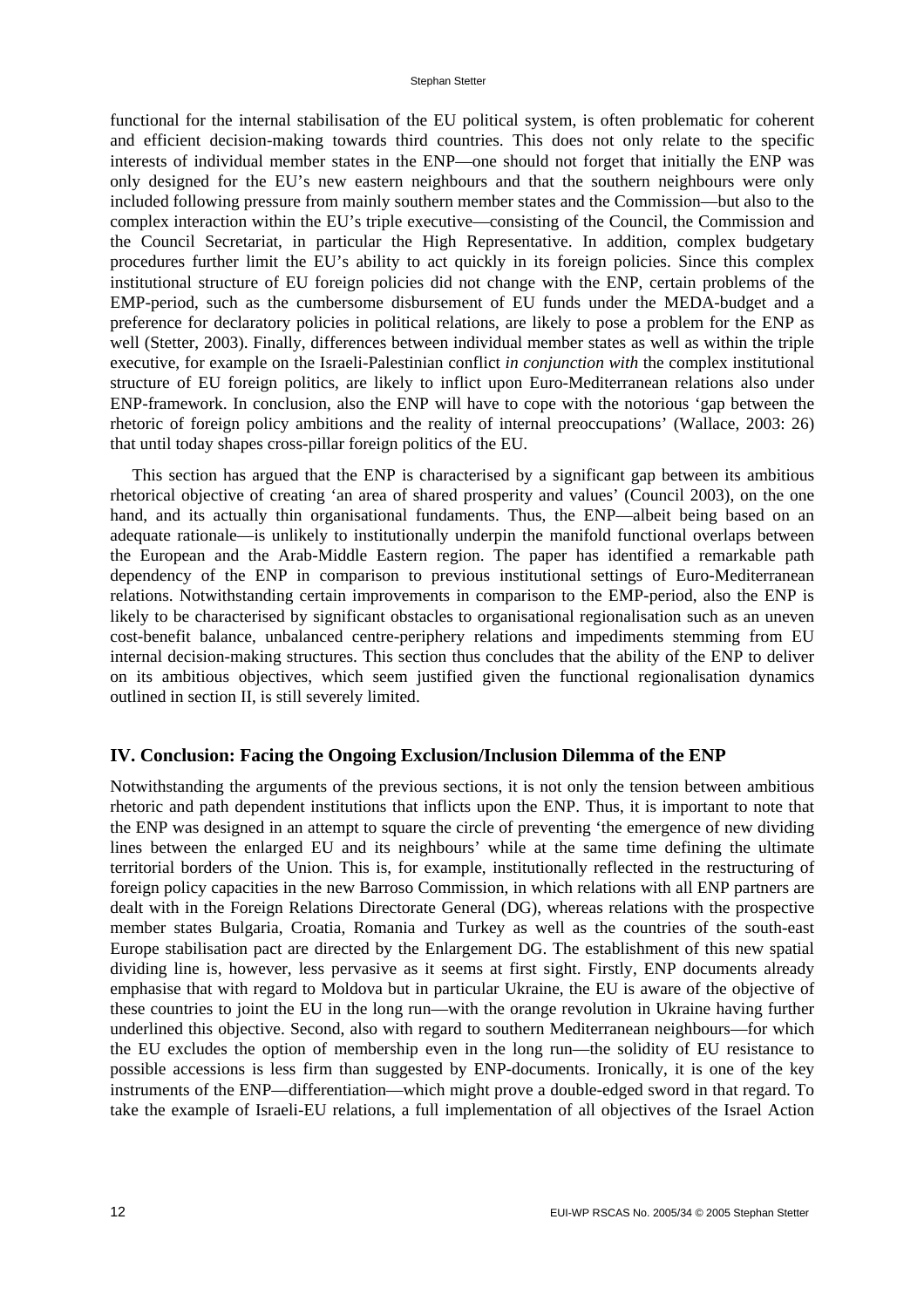functional for the internal stabilisation of the EU political system, is often problematic for coherent and efficient decision-making towards third countries. This does not only relate to the specific interests of individual member states in the ENP—one should not forget that initially the ENP was only designed for the EU's new eastern neighbours and that the southern neighbours were only included following pressure from mainly southern member states and the Commission—but also to the complex interaction within the EU's triple executive—consisting of the Council, the Commission and the Council Secretariat, in particular the High Representative. In addition, complex budgetary procedures further limit the EU's ability to act quickly in its foreign policies. Since this complex institutional structure of EU foreign policies did not change with the ENP, certain problems of the EMP-period, such as the cumbersome disbursement of EU funds under the MEDA-budget and a preference for declaratory policies in political relations, are likely to pose a problem for the ENP as well (Stetter, 2003). Finally, differences between individual member states as well as within the triple executive, for example on the Israeli-Palestinian conflict *in conjunction with* the complex institutional structure of EU foreign politics, are likely to inflict upon Euro-Mediterranean relations also under ENP-framework. In conclusion, also the ENP will have to cope with the notorious 'gap between the rhetoric of foreign policy ambitions and the reality of internal preoccupations' (Wallace, 2003: 26) that until today shapes cross-pillar foreign politics of the EU.

This section has argued that the ENP is characterised by a significant gap between its ambitious rhetorical objective of creating 'an area of shared prosperity and values' (Council 2003), on the one hand, and its actually thin organisational fundaments. Thus, the ENP—albeit being based on an adequate rationale—is unlikely to institutionally underpin the manifold functional overlaps between the European and the Arab-Middle Eastern region. The paper has identified a remarkable path dependency of the ENP in comparison to previous institutional settings of Euro-Mediterranean relations. Notwithstanding certain improvements in comparison to the EMP-period, also the ENP is likely to be characterised by significant obstacles to organisational regionalisation such as an uneven cost-benefit balance, unbalanced centre-periphery relations and impediments stemming from EU internal decision-making structures. This section thus concludes that the ability of the ENP to deliver on its ambitious objectives, which seem justified given the functional regionalisation dynamics outlined in section II, is still severely limited.

#### **IV. Conclusion: Facing the Ongoing Exclusion/Inclusion Dilemma of the ENP**

Notwithstanding the arguments of the previous sections, it is not only the tension between ambitious rhetoric and path dependent institutions that inflicts upon the ENP. Thus, it is important to note that the ENP was designed in an attempt to square the circle of preventing 'the emergence of new dividing lines between the enlarged EU and its neighbours' while at the same time defining the ultimate territorial borders of the Union. This is, for example, institutionally reflected in the restructuring of foreign policy capacities in the new Barroso Commission, in which relations with all ENP partners are dealt with in the Foreign Relations Directorate General (DG), whereas relations with the prospective member states Bulgaria, Croatia, Romania and Turkey as well as the countries of the south-east Europe stabilisation pact are directed by the Enlargement DG. The establishment of this new spatial dividing line is, however, less pervasive as it seems at first sight. Firstly, ENP documents already emphasise that with regard to Moldova but in particular Ukraine, the EU is aware of the objective of these countries to joint the EU in the long run—with the orange revolution in Ukraine having further underlined this objective. Second, also with regard to southern Mediterranean neighbours—for which the EU excludes the option of membership even in the long run—the solidity of EU resistance to possible accessions is less firm than suggested by ENP-documents. Ironically, it is one of the key instruments of the ENP—differentiation—which might prove a double-edged sword in that regard. To take the example of Israeli-EU relations, a full implementation of all objectives of the Israel Action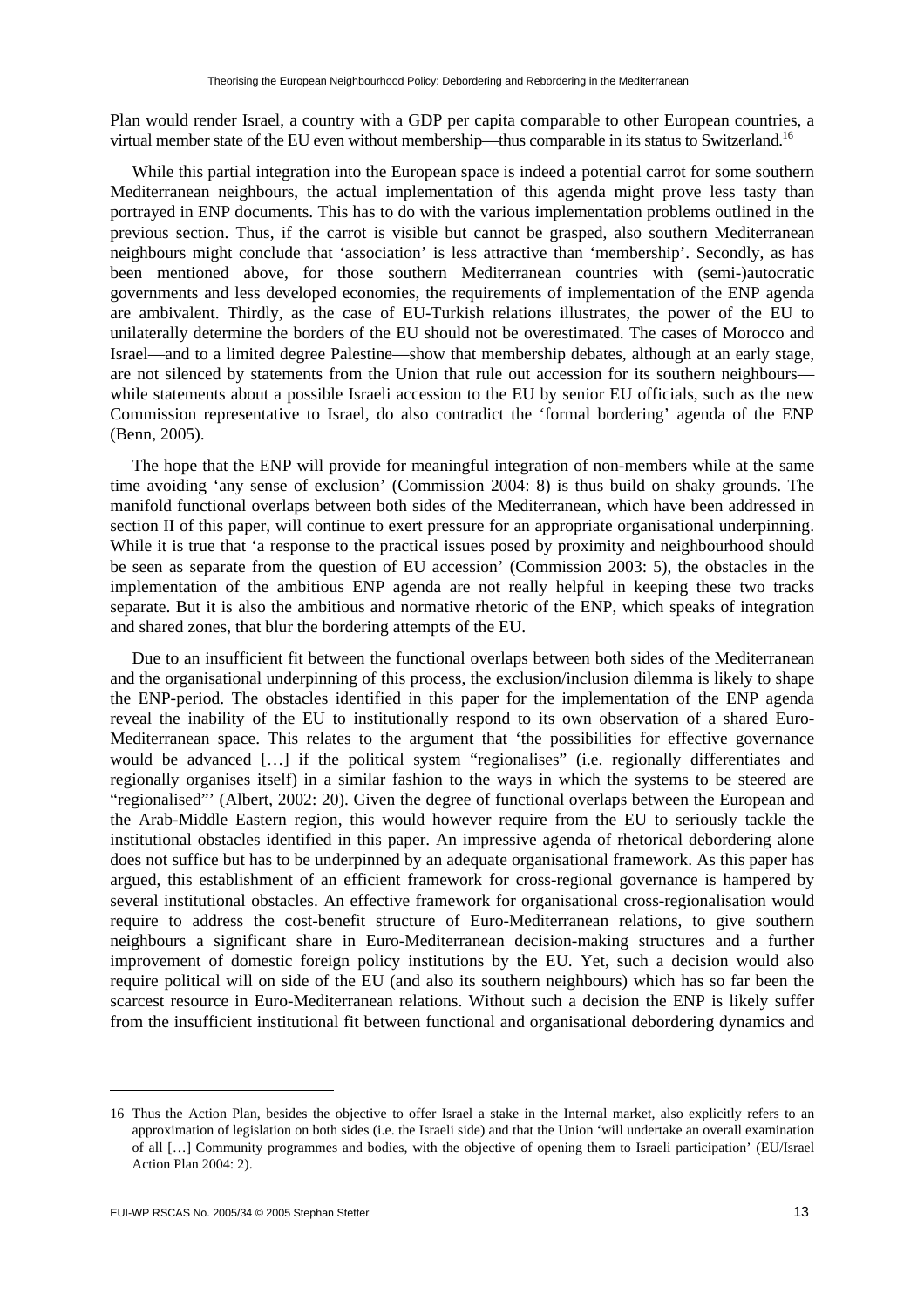Plan would render Israel, a country with a GDP per capita comparable to other European countries, a virtual member state of the EU even without membership—thus comparable in its status to Switzerland.16

While this partial integration into the European space is indeed a potential carrot for some southern Mediterranean neighbours, the actual implementation of this agenda might prove less tasty than portrayed in ENP documents. This has to do with the various implementation problems outlined in the previous section. Thus, if the carrot is visible but cannot be grasped, also southern Mediterranean neighbours might conclude that 'association' is less attractive than 'membership'. Secondly, as has been mentioned above, for those southern Mediterranean countries with (semi-)autocratic governments and less developed economies, the requirements of implementation of the ENP agenda are ambivalent. Thirdly, as the case of EU-Turkish relations illustrates, the power of the EU to unilaterally determine the borders of the EU should not be overestimated. The cases of Morocco and Israel—and to a limited degree Palestine—show that membership debates, although at an early stage, are not silenced by statements from the Union that rule out accession for its southern neighbours while statements about a possible Israeli accession to the EU by senior EU officials, such as the new Commission representative to Israel, do also contradict the 'formal bordering' agenda of the ENP (Benn, 2005).

The hope that the ENP will provide for meaningful integration of non-members while at the same time avoiding 'any sense of exclusion' (Commission 2004: 8) is thus build on shaky grounds. The manifold functional overlaps between both sides of the Mediterranean, which have been addressed in section II of this paper, will continue to exert pressure for an appropriate organisational underpinning. While it is true that 'a response to the practical issues posed by proximity and neighbourhood should be seen as separate from the question of EU accession' (Commission 2003: 5), the obstacles in the implementation of the ambitious ENP agenda are not really helpful in keeping these two tracks separate. But it is also the ambitious and normative rhetoric of the ENP, which speaks of integration and shared zones, that blur the bordering attempts of the EU.

Due to an insufficient fit between the functional overlaps between both sides of the Mediterranean and the organisational underpinning of this process, the exclusion/inclusion dilemma is likely to shape the ENP-period. The obstacles identified in this paper for the implementation of the ENP agenda reveal the inability of the EU to institutionally respond to its own observation of a shared Euro-Mediterranean space. This relates to the argument that 'the possibilities for effective governance would be advanced […] if the political system "regionalises" (i.e. regionally differentiates and regionally organises itself) in a similar fashion to the ways in which the systems to be steered are "regionalised"' (Albert, 2002: 20). Given the degree of functional overlaps between the European and the Arab-Middle Eastern region, this would however require from the EU to seriously tackle the institutional obstacles identified in this paper. An impressive agenda of rhetorical debordering alone does not suffice but has to be underpinned by an adequate organisational framework. As this paper has argued, this establishment of an efficient framework for cross-regional governance is hampered by several institutional obstacles. An effective framework for organisational cross-regionalisation would require to address the cost-benefit structure of Euro-Mediterranean relations, to give southern neighbours a significant share in Euro-Mediterranean decision-making structures and a further improvement of domestic foreign policy institutions by the EU. Yet, such a decision would also require political will on side of the EU (and also its southern neighbours) which has so far been the scarcest resource in Euro-Mediterranean relations. Without such a decision the ENP is likely suffer from the insufficient institutional fit between functional and organisational debordering dynamics and

<sup>16</sup> Thus the Action Plan, besides the objective to offer Israel a stake in the Internal market, also explicitly refers to an approximation of legislation on both sides (i.e. the Israeli side) and that the Union 'will undertake an overall examination of all […] Community programmes and bodies, with the objective of opening them to Israeli participation' (EU/Israel Action Plan 2004: 2).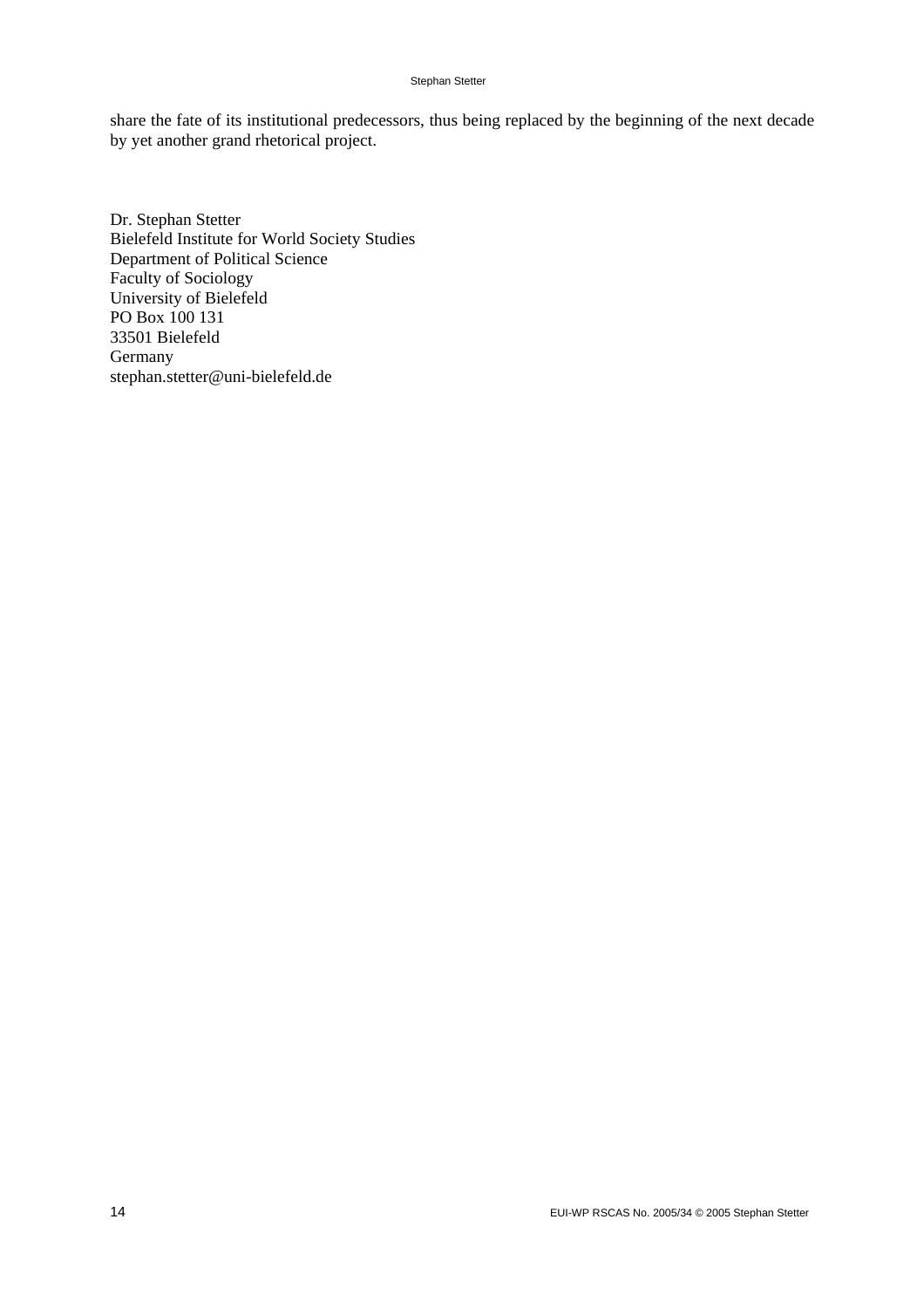#### Stephan Stetter

share the fate of its institutional predecessors, thus being replaced by the beginning of the next decade by yet another grand rhetorical project.

Dr. Stephan Stetter Bielefeld Institute for World Society Studies Department of Political Science Faculty of Sociology University of Bielefeld PO Box 100 131 33501 Bielefeld Germany stephan.stetter@uni-bielefeld.de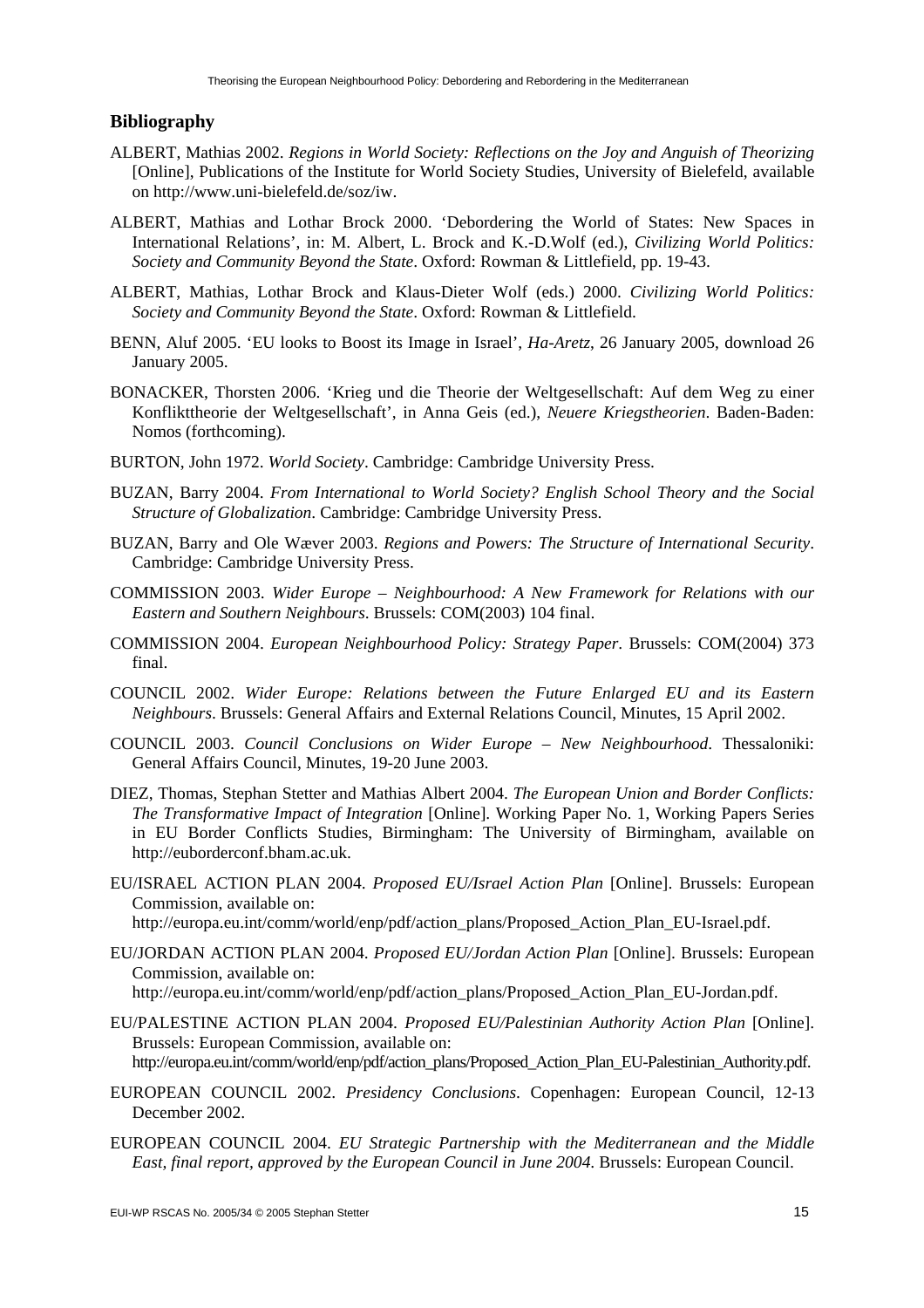#### **Bibliography**

- ALBERT, Mathias 2002. *Regions in World Society: Reflections on the Joy and Anguish of Theorizing*  [Online], Publications of the Institute for World Society Studies, University of Bielefeld, available on http://www.uni-bielefeld.de/soz/iw.
- ALBERT, Mathias and Lothar Brock 2000. 'Debordering the World of States: New Spaces in International Relations', in: M. Albert, L. Brock and K.-D.Wolf (ed.), *Civilizing World Politics: Society and Community Beyond the State*. Oxford: Rowman & Littlefield, pp. 19-43.
- ALBERT, Mathias, Lothar Brock and Klaus-Dieter Wolf (eds.) 2000. *Civilizing World Politics: Society and Community Beyond the State*. Oxford: Rowman & Littlefield.
- BENN, Aluf 2005. 'EU looks to Boost its Image in Israel', *Ha-Aretz*, 26 January 2005, download 26 January 2005.
- BONACKER, Thorsten 2006. 'Krieg und die Theorie der Weltgesellschaft: Auf dem Weg zu einer Konflikttheorie der Weltgesellschaft', in Anna Geis (ed.), *Neuere Kriegstheorien*. Baden-Baden: Nomos (forthcoming).
- BURTON, John 1972. *World Society*. Cambridge: Cambridge University Press.
- BUZAN, Barry 2004. *From International to World Society? English School Theory and the Social Structure of Globalization*. Cambridge: Cambridge University Press.
- BUZAN, Barry and Ole Wæver 2003. *Regions and Powers: The Structure of International Security*. Cambridge: Cambridge University Press.
- COMMISSION 2003. *Wider Europe Neighbourhood: A New Framework for Relations with our Eastern and Southern Neighbours*. Brussels: COM(2003) 104 final.
- COMMISSION 2004. *European Neighbourhood Policy: Strategy Paper*. Brussels: COM(2004) 373 final.
- COUNCIL 2002. *Wider Europe: Relations between the Future Enlarged EU and its Eastern Neighbours*. Brussels: General Affairs and External Relations Council, Minutes, 15 April 2002.
- COUNCIL 2003. *Council Conclusions on Wider Europe New Neighbourhood*. Thessaloniki: General Affairs Council, Minutes, 19-20 June 2003.
- DIEZ, Thomas, Stephan Stetter and Mathias Albert 2004. *The European Union and Border Conflicts: The Transformative Impact of Integration* [Online]. Working Paper No. 1, Working Papers Series in EU Border Conflicts Studies, Birmingham: The University of Birmingham, available on http://euborderconf.bham.ac.uk.
- EU/ISRAEL ACTION PLAN 2004. *Proposed EU/Israel Action Plan* [Online]. Brussels: European Commission, available on:

http://europa.eu.int/comm/world/enp/pdf/action\_plans/Proposed\_Action\_Plan\_EU-Israel.pdf.

EU/JORDAN ACTION PLAN 2004. *Proposed EU/Jordan Action Plan* [Online]. Brussels: European Commission, available on:

http://europa.eu.int/comm/world/enp/pdf/action\_plans/Proposed\_Action\_Plan\_EU-Jordan.pdf.

EU/PALESTINE ACTION PLAN 2004. *Proposed EU/Palestinian Authority Action Plan* [Online]. Brussels: European Commission, available on:

http://europa.eu.int/comm/world/enp/pdf/action\_plans/Proposed\_Action\_Plan\_EU-Palestinian\_Authority.pdf.

- EUROPEAN COUNCIL 2002. *Presidency Conclusions*. Copenhagen: European Council, 12-13 December 2002.
- EUROPEAN COUNCIL 2004. *EU Strategic Partnership with the Mediterranean and the Middle East, final report, approved by the European Council in June 2004*. Brussels: European Council.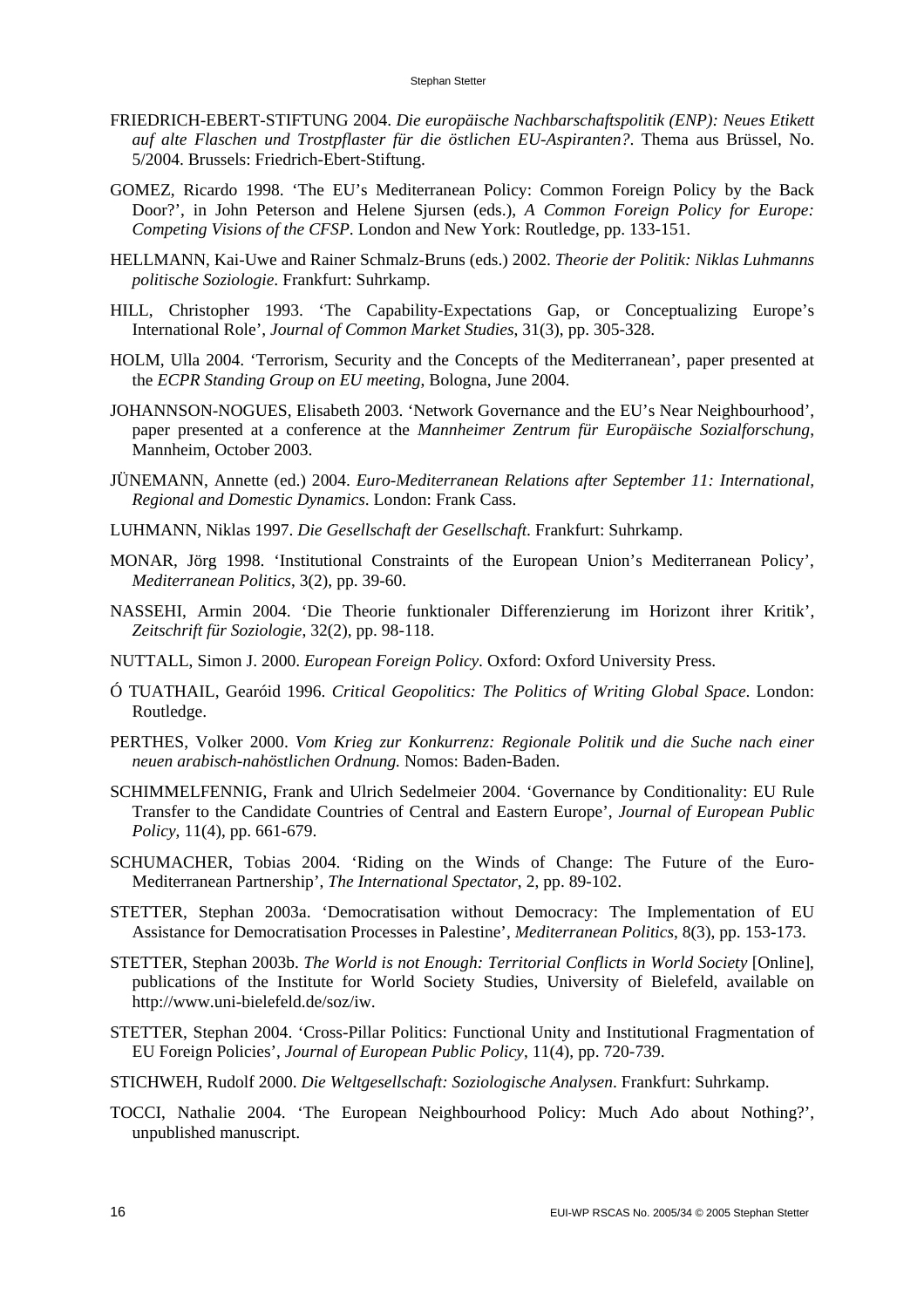- FRIEDRICH-EBERT-STIFTUNG 2004. *Die europäische Nachbarschaftspolitik (ENP): Neues Etikett auf alte Flaschen und Trostpflaster für die östlichen EU-Aspiranten?*. Thema aus Brüssel, No. 5/2004. Brussels: Friedrich-Ebert-Stiftung.
- GOMEZ, Ricardo 1998. 'The EU's Mediterranean Policy: Common Foreign Policy by the Back Door?', in John Peterson and Helene Sjursen (eds.), *A Common Foreign Policy for Europe: Competing Visions of the CFSP*. London and New York: Routledge, pp. 133-151.
- HELLMANN, Kai-Uwe and Rainer Schmalz-Bruns (eds.) 2002. *Theorie der Politik: Niklas Luhmanns politische Soziologie*. Frankfurt: Suhrkamp.
- HILL, Christopher 1993. 'The Capability-Expectations Gap, or Conceptualizing Europe's International Role', *Journal of Common Market Studies*, 31(3), pp. 305-328.
- HOLM, Ulla 2004. 'Terrorism, Security and the Concepts of the Mediterranean', paper presented at the *ECPR Standing Group on EU meeting*, Bologna, June 2004.
- JOHANNSON-NOGUES, Elisabeth 2003. 'Network Governance and the EU's Near Neighbourhood', paper presented at a conference at the *Mannheimer Zentrum für Europäische Sozialforschung*, Mannheim, October 2003.
- JÜNEMANN, Annette (ed.) 2004. *Euro-Mediterranean Relations after September 11: International, Regional and Domestic Dynamics*. London: Frank Cass.
- LUHMANN, Niklas 1997. *Die Gesellschaft der Gesellschaft*. Frankfurt: Suhrkamp.
- MONAR, Jörg 1998. 'Institutional Constraints of the European Union's Mediterranean Policy', *Mediterranean Politics*, 3(2), pp. 39-60.
- NASSEHI, Armin 2004. 'Die Theorie funktionaler Differenzierung im Horizont ihrer Kritik', *Zeitschrift für Soziologie*, 32(2), pp. 98-118.
- NUTTALL, Simon J. 2000. *European Foreign Policy*. Oxford: Oxford University Press.
- Ó TUATHAIL, Gearóid 1996. *Critical Geopolitics: The Politics of Writing Global Space*. London: Routledge.
- PERTHES, Volker 2000. *Vom Krieg zur Konkurrenz: Regionale Politik und die Suche nach einer neuen arabisch-nahöstlichen Ordnung.* Nomos: Baden-Baden.
- SCHIMMELFENNIG, Frank and Ulrich Sedelmeier 2004. 'Governance by Conditionality: EU Rule Transfer to the Candidate Countries of Central and Eastern Europe', *Journal of European Public Policy*, 11(4), pp. 661-679.
- SCHUMACHER, Tobias 2004. 'Riding on the Winds of Change: The Future of the Euro-Mediterranean Partnership', *The International Spectator*, 2, pp. 89-102.
- STETTER, Stephan 2003a. 'Democratisation without Democracy: The Implementation of EU Assistance for Democratisation Processes in Palestine', *Mediterranean Politics*, 8(3), pp. 153-173.
- STETTER, Stephan 2003b. *The World is not Enough: Territorial Conflicts in World Society* [Online], publications of the Institute for World Society Studies, University of Bielefeld, available on http://www.uni-bielefeld.de/soz/iw.
- STETTER, Stephan 2004. 'Cross-Pillar Politics: Functional Unity and Institutional Fragmentation of EU Foreign Policies', *Journal of European Public Policy*, 11(4), pp. 720-739.
- STICHWEH, Rudolf 2000. *Die Weltgesellschaft: Soziologische Analysen*. Frankfurt: Suhrkamp.
- TOCCI, Nathalie 2004. 'The European Neighbourhood Policy: Much Ado about Nothing?', unpublished manuscript.